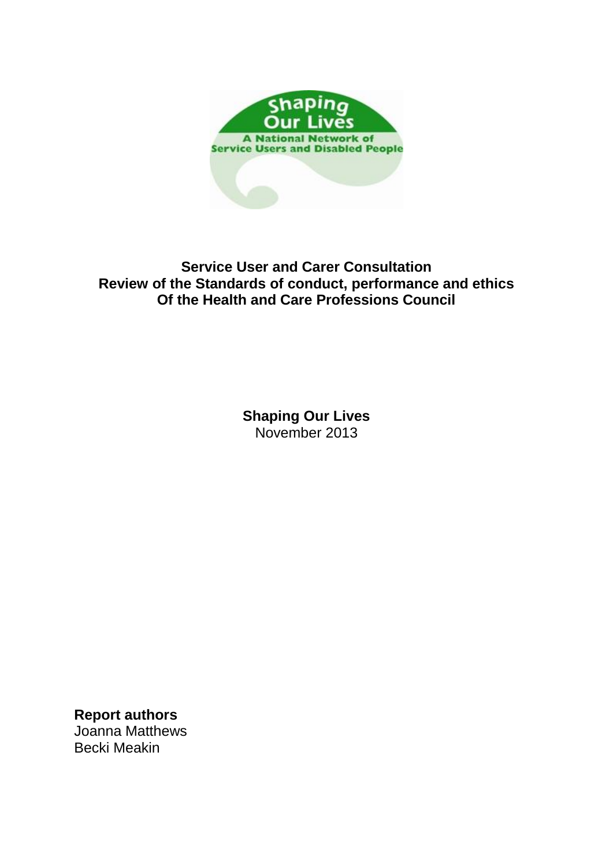

# **Service User and Carer Consultation Review of the Standards of conduct, performance and ethics Of the Health and Care Professions Council**

**Shaping Our Lives** November 2013

**Report authors** Joanna Matthews Becki Meakin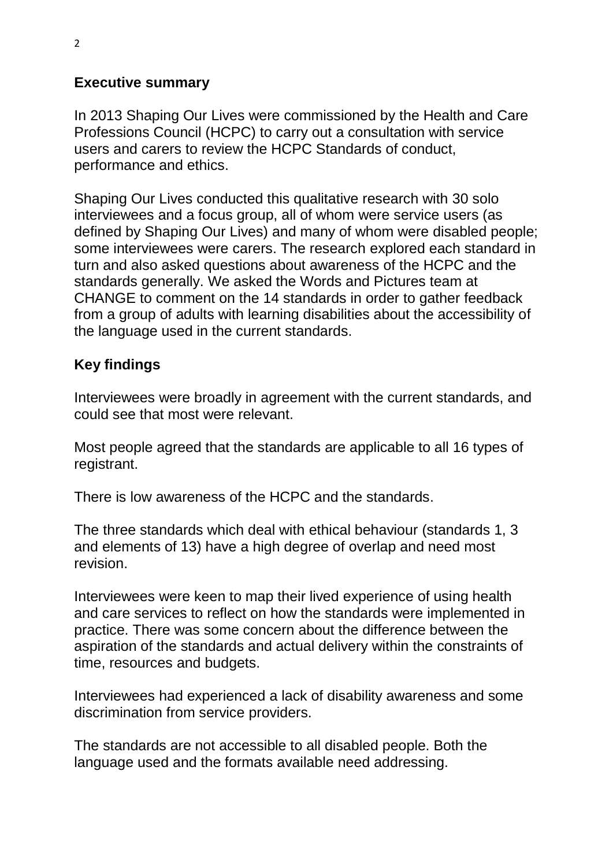# **Executive summary**

In 2013 Shaping Our Lives were commissioned by the Health and Care Professions Council (HCPC) to carry out a consultation with service users and carers to review the HCPC Standards of conduct, performance and ethics.

Shaping Our Lives conducted this qualitative research with 30 solo interviewees and a focus group, all of whom were service users (as defined by Shaping Our Lives) and many of whom were disabled people; some interviewees were carers. The research explored each standard in turn and also asked questions about awareness of the HCPC and the standards generally. We asked the Words and Pictures team at CHANGE to comment on the 14 standards in order to gather feedback from a group of adults with learning disabilities about the accessibility of the language used in the current standards.

# **Key findings**

Interviewees were broadly in agreement with the current standards, and could see that most were relevant.

Most people agreed that the standards are applicable to all 16 types of registrant.

There is low awareness of the HCPC and the standards.

The three standards which deal with ethical behaviour (standards 1, 3 and elements of 13) have a high degree of overlap and need most revision.

Interviewees were keen to map their lived experience of using health and care services to reflect on how the standards were implemented in practice. There was some concern about the difference between the aspiration of the standards and actual delivery within the constraints of time, resources and budgets.

Interviewees had experienced a lack of disability awareness and some discrimination from service providers.

The standards are not accessible to all disabled people. Both the language used and the formats available need addressing.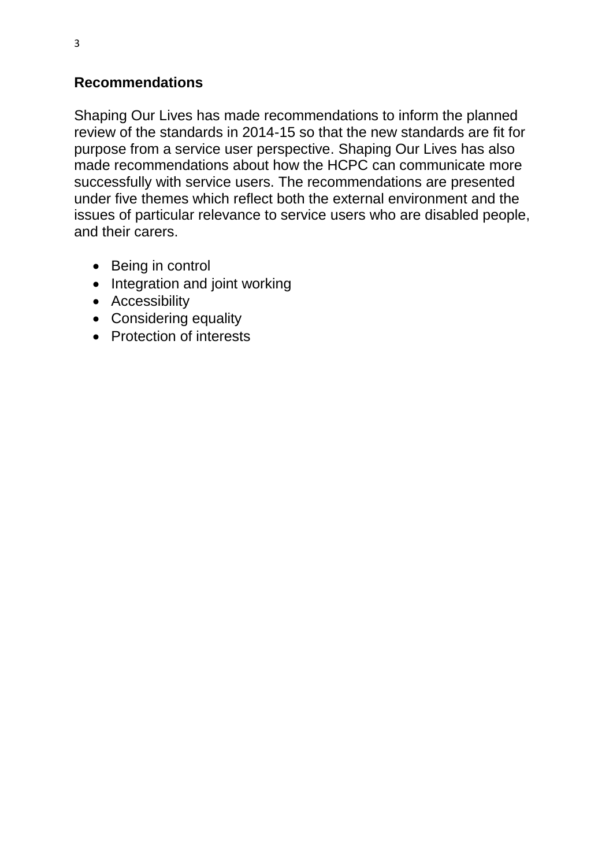# **Recommendations**

Shaping Our Lives has made recommendations to inform the planned review of the standards in 2014-15 so that the new standards are fit for purpose from a service user perspective. Shaping Our Lives has also made recommendations about how the HCPC can communicate more successfully with service users. The recommendations are presented under five themes which reflect both the external environment and the issues of particular relevance to service users who are disabled people, and their carers.

- Being in control
- Integration and joint working
- Accessibility
- Considering equality
- Protection of interests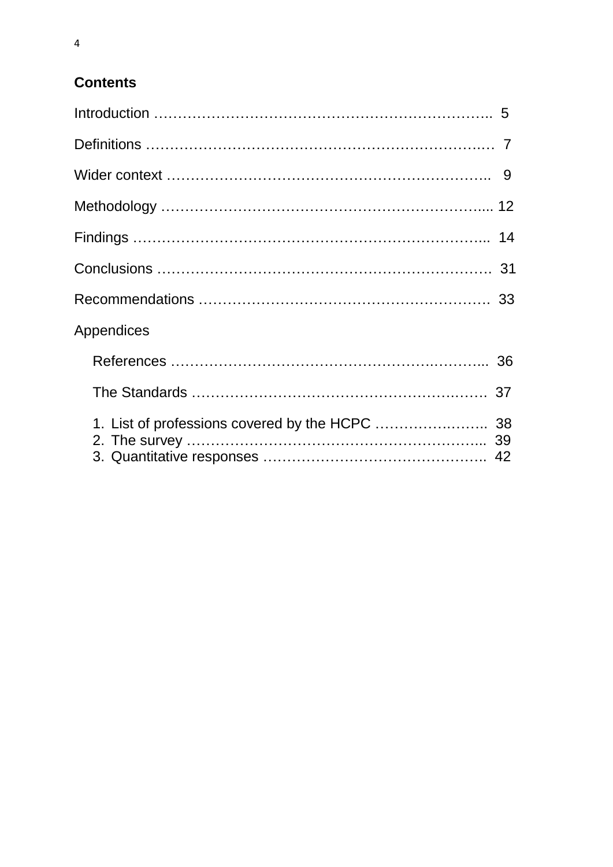# **Contents**

| <b>Appendices</b> |  |
|-------------------|--|
|                   |  |
|                   |  |
|                   |  |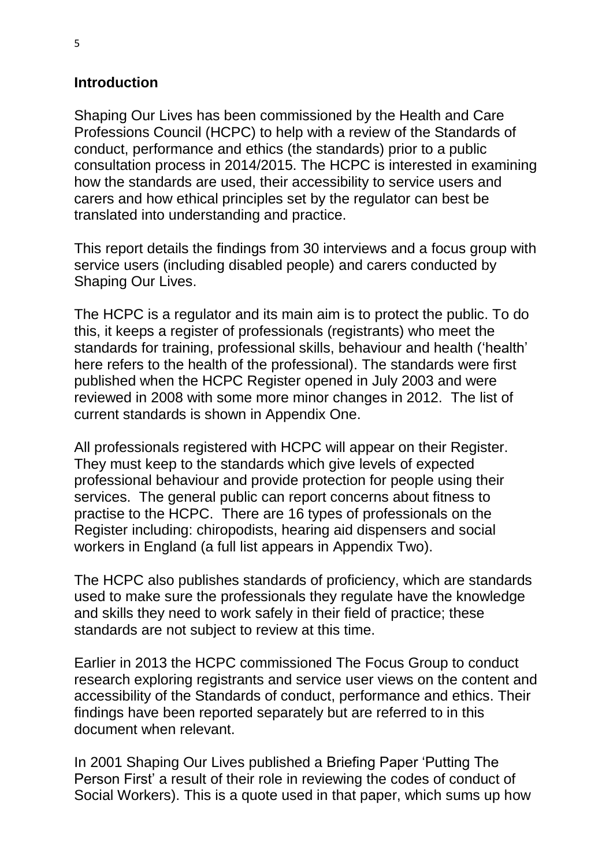#### **Introduction**

Shaping Our Lives has been commissioned by the Health and Care Professions Council (HCPC) to help with a review of the Standards of conduct, performance and ethics (the standards) prior to a public consultation process in 2014/2015. The HCPC is interested in examining how the standards are used, their accessibility to service users and carers and how ethical principles set by the regulator can best be translated into understanding and practice.

This report details the findings from 30 interviews and a focus group with service users (including disabled people) and carers conducted by Shaping Our Lives.

The HCPC is a regulator and its main aim is to protect the public. To do this, it keeps a register of professionals (registrants) who meet the standards for training, professional skills, behaviour and health ('health' here refers to the health of the professional). The standards were first published when the HCPC Register opened in July 2003 and were reviewed in 2008 with some more minor changes in 2012. The list of current standards is shown in Appendix One.

All professionals registered with HCPC will appear on their Register. They must keep to the standards which give levels of expected professional behaviour and provide protection for people using their services. The general public can report concerns about fitness to practise to the HCPC. There are 16 types of professionals on the Register including: chiropodists, hearing aid dispensers and social workers in England (a full list appears in Appendix Two).

The HCPC also publishes standards of proficiency, which are standards used to make sure the professionals they regulate have the knowledge and skills they need to work safely in their field of practice; these standards are not subject to review at this time.

Earlier in 2013 the HCPC commissioned The Focus Group to conduct research exploring registrants and service user views on the content and accessibility of the Standards of conduct, performance and ethics. Their findings have been reported separately but are referred to in this document when relevant.

In 2001 Shaping Our Lives published a [Briefing Paper 'Putting The](http://www.shapingourlives.org.uk/downloads/main%20projects/personfirst.pdf)  [Person First'](http://www.shapingourlives.org.uk/downloads/main%20projects/personfirst.pdf) a result of their role in reviewing the codes of conduct of Social Workers). This is a quote used in that paper, which sums up how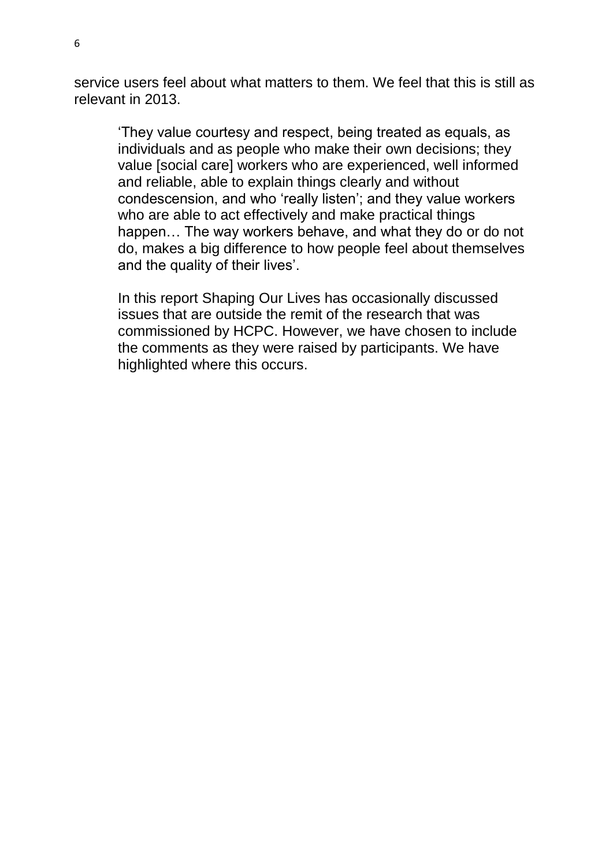service users feel about what matters to them. We feel that this is still as relevant in 2013.

'They value courtesy and respect, being treated as equals, as individuals and as people who make their own decisions; they value [social care] workers who are experienced, well informed and reliable, able to explain things clearly and without condescension, and who 'really listen'; and they value workers who are able to act effectively and make practical things happen… The way workers behave, and what they do or do not do, makes a big difference to how people feel about themselves and the quality of their lives'.

In this report Shaping Our Lives has occasionally discussed issues that are outside the remit of the research that was commissioned by HCPC. However, we have chosen to include the comments as they were raised by participants. We have highlighted where this occurs.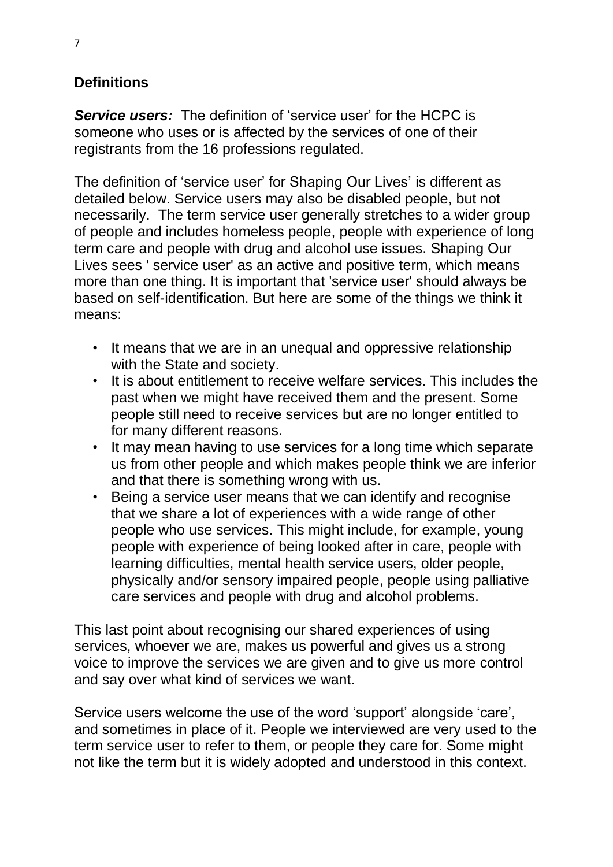# **Definitions**

*Service users:* The definition of 'service user' for the HCPC is someone who uses or is affected by the services of one of their registrants from the 16 professions regulated.

The definition of 'service user' for Shaping Our Lives' is different as detailed below. Service users may also be disabled people, but not necessarily. The term service user generally stretches to a wider group of people and includes homeless people, people with experience of long term care and people with drug and alcohol use issues. Shaping Our Lives sees ' service user' as an active and positive term, which means more than one thing. It is important that 'service user' should always be based on self-identification. But here are some of the things we think it means:

- It means that we are in an unequal and oppressive relationship with the State and society.
- It is about entitlement to receive welfare services. This includes the past when we might have received them and the present. Some people still need to receive services but are no longer entitled to for many different reasons.
- It may mean having to use services for a long time which separate us from other people and which makes people think we are inferior and that there is something wrong with us.
- Being a service user means that we can identify and recognise that we share a lot of experiences with a wide range of other people who use services. This might include, for example, young people with experience of being looked after in care, people with learning difficulties, mental health service users, older people, physically and/or sensory impaired people, people using palliative care services and people with drug and alcohol problems.

This last point about recognising our shared experiences of using services, whoever we are, makes us powerful and gives us a strong voice to improve the services we are given and to give us more control and say over what kind of services we want.

Service users welcome the use of the word 'support' alongside 'care', and sometimes in place of it. People we interviewed are very used to the term service user to refer to them, or people they care for. Some might not like the term but it is widely adopted and understood in this context.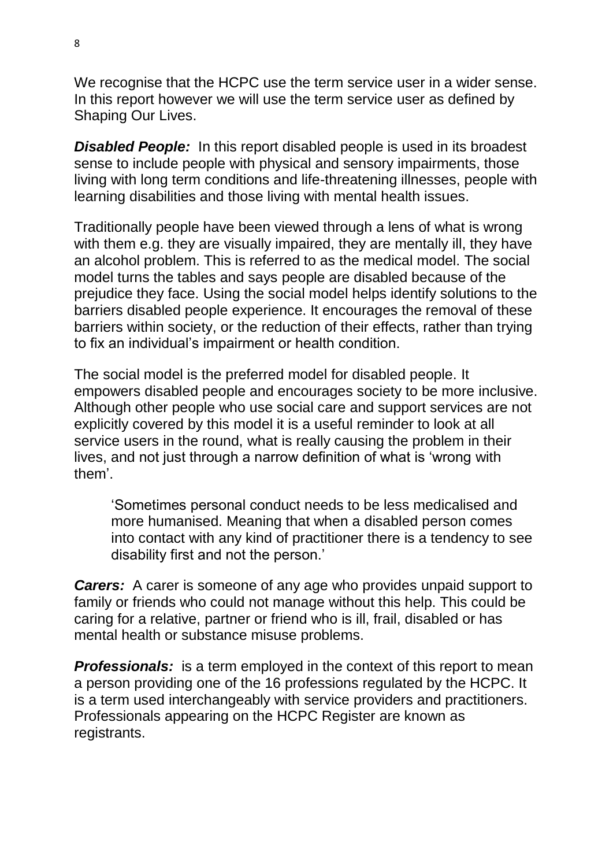We recognise that the HCPC use the term service user in a wider sense. In this report however we will use the term service user as defined by Shaping Our Lives.

**Disabled People:** In this report disabled people is used in its broadest sense to include people with physical and sensory impairments, those living with long term conditions and life-threatening illnesses, people with learning disabilities and those living with mental health issues.

Traditionally people have been viewed through a lens of what is wrong with them e.g. they are visually impaired, they are mentally ill, they have an alcohol problem. This is referred to as the medical model. The social model turns the tables and says people are disabled because of the prejudice they face. Using the social model helps identify solutions to the barriers disabled people experience. It encourages the removal of these barriers within society, or the reduction of their effects, rather than trying to fix an individual's impairment or health condition.

The social model is the preferred model for disabled people. It empowers disabled people and encourages society to be more inclusive. Although other people who use social care and support services are not explicitly covered by this model it is a useful reminder to look at all service users in the round, what is really causing the problem in their lives, and not just through a narrow definition of what is 'wrong with them'.

'Sometimes personal conduct needs to be less medicalised and more humanised. Meaning that when a disabled person comes into contact with any kind of practitioner there is a tendency to see disability first and not the person.'

*Carers:* A carer is someone of any age who provides unpaid support to family or friends who could not manage without this help. This could be caring for a relative, partner or friend who is ill, frail, disabled or has mental health or substance misuse problems.

**Professionals:** is a term employed in the context of this report to mean a person providing one of the 16 professions regulated by the HCPC. It is a term used interchangeably with service providers and practitioners. Professionals appearing on the HCPC Register are known as registrants.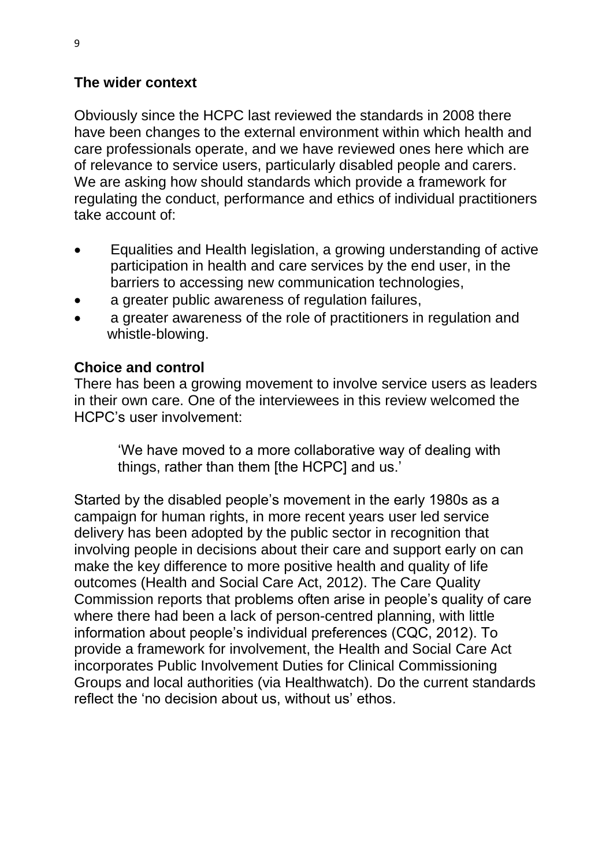#### **The wider context**

Obviously since the HCPC last reviewed the standards in 2008 there have been changes to the external environment within which health and care professionals operate, and we have reviewed ones here which are of relevance to service users, particularly disabled people and carers. We are asking how should standards which provide a framework for regulating the conduct, performance and ethics of individual practitioners take account of:

- Equalities and Health legislation, a growing understanding of active participation in health and care services by the end user, in the barriers to accessing new communication technologies,
- a greater public awareness of regulation failures,
- a greater awareness of the role of practitioners in regulation and whistle-blowing.

#### **Choice and control**

There has been a growing movement to involve service users as leaders in their own care. One of the interviewees in this review welcomed the HCPC's user involvement:

'We have moved to a more collaborative way of dealing with things, rather than them [the HCPC] and us.'

Started by the disabled people's movement in the early 1980s as a campaign for human rights, in more recent years user led service delivery has been adopted by the public sector in recognition that involving people in decisions about their care and support early on can make the key difference to more positive health and quality of life outcomes (Health and Social Care Act, 2012). The Care Quality Commission reports that problems often arise in people's quality of care where there had been a lack of person-centred planning, with little information about people's individual preferences (CQC, 2012). To provide a framework for involvement, the Health and Social Care Act incorporates Public Involvement Duties for Clinical Commissioning Groups and local authorities (via Healthwatch). Do the current standards reflect the 'no decision about us, without us' ethos.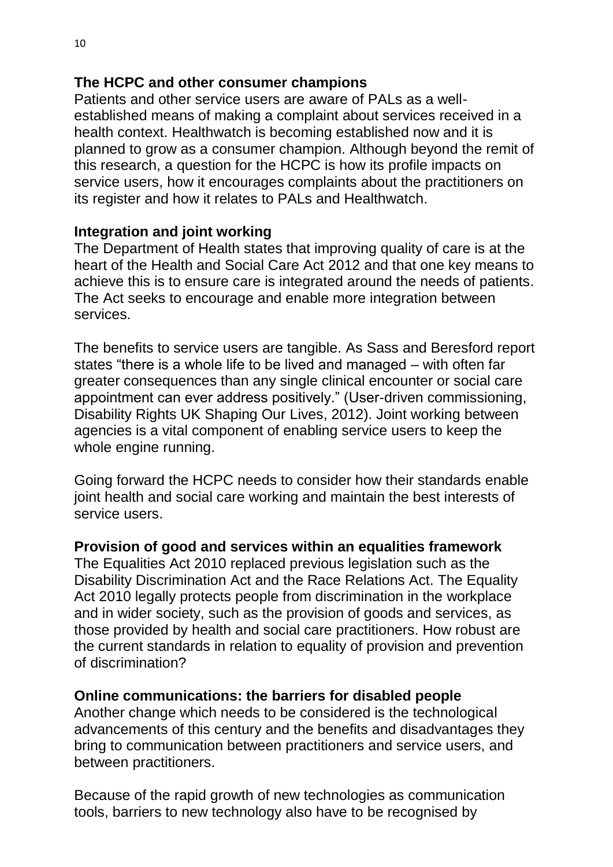# **The HCPC and other consumer champions**

Patients and other service users are aware of PALs as a wellestablished means of making a complaint about services received in a health context. Healthwatch is becoming established now and it is planned to grow as a consumer champion. Although beyond the remit of this research, a question for the HCPC is how its profile impacts on service users, how it encourages complaints about the practitioners on its register and how it relates to PALs and Healthwatch.

# **Integration and joint working**

The Department of Health states that improving quality of care is at the heart of the Health and Social Care Act 2012 and that one key means to achieve this is to ensure care is integrated around the needs of patients. The Act seeks to encourage and enable more integration between services.

The benefits to service users are tangible. As Sass and Beresford report states "there is a whole life to be lived and managed – with often far greater consequences than any single clinical encounter or social care appointment can ever address positively." (User-driven commissioning, Disability Rights UK Shaping Our Lives, 2012). Joint working between agencies is a vital component of enabling service users to keep the whole engine running.

Going forward the HCPC needs to consider how their standards enable joint health and social care working and maintain the best interests of service users.

# **Provision of good and services within an equalities framework**

The Equalities Act 2010 replaced previous legislation such as the Disability Discrimination Act and the Race Relations Act. The Equality Act 2010 legally protects people from discrimination in the workplace and in wider society, such as the provision of goods and services, as those provided by health and social care practitioners. How robust are the current standards in relation to equality of provision and prevention of discrimination?

# **Online communications: the barriers for disabled people**

Another change which needs to be considered is the technological advancements of this century and the benefits and disadvantages they bring to communication between practitioners and service users, and between practitioners.

Because of the rapid growth of new technologies as communication tools, barriers to new technology also have to be recognised by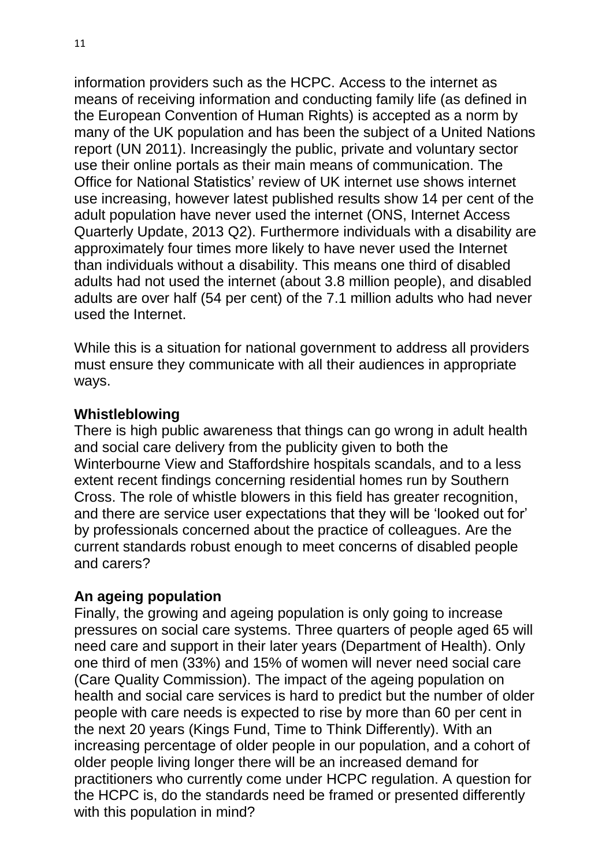information providers such as the HCPC. Access to the internet as means of receiving information and conducting family life (as defined in the European Convention of Human Rights) is accepted as a norm by many of the UK population and has been the subject of a United Nations report (UN 2011). Increasingly the public, private and voluntary sector use their online portals as their main means of communication. The Office for National Statistics' review of UK internet use shows internet use increasing, however latest published results show 14 per cent of the adult population have never used the internet (ONS, Internet Access Quarterly Update, 2013 Q2). Furthermore individuals with a disability are approximately four times more likely to have never used the Internet than individuals without a disability. This means one third of disabled adults had not used the internet (about 3.8 million people), and disabled adults are over half (54 per cent) of the 7.1 million adults who had never used the Internet.

While this is a situation for national government to address all providers must ensure they communicate with all their audiences in appropriate ways.

#### **Whistleblowing**

There is high public awareness that things can go wrong in adult health and social care delivery from the publicity given to both the Winterbourne View and Staffordshire hospitals scandals, and to a less extent recent findings concerning residential homes run by Southern Cross. The role of whistle blowers in this field has greater recognition, and there are service user expectations that they will be 'looked out for' by professionals concerned about the practice of colleagues. Are the current standards robust enough to meet concerns of disabled people and carers?

# **An ageing population**

Finally, the growing and ageing population is only going to increase pressures on social care systems. Three quarters of people aged 65 will need care and support in their later years (Department of Health). Only one third of men (33%) and 15% of women will never need social care (Care Quality Commission). The impact of the ageing population on health and social care services is hard to predict but the number of older people with care needs is expected to rise by more than 60 per cent in the next 20 years (Kings Fund, Time to Think Differently). With an increasing percentage of older people in our population, and a cohort of older people living longer there will be an increased demand for practitioners who currently come under HCPC regulation. A question for the HCPC is, do the standards need be framed or presented differently with this population in mind?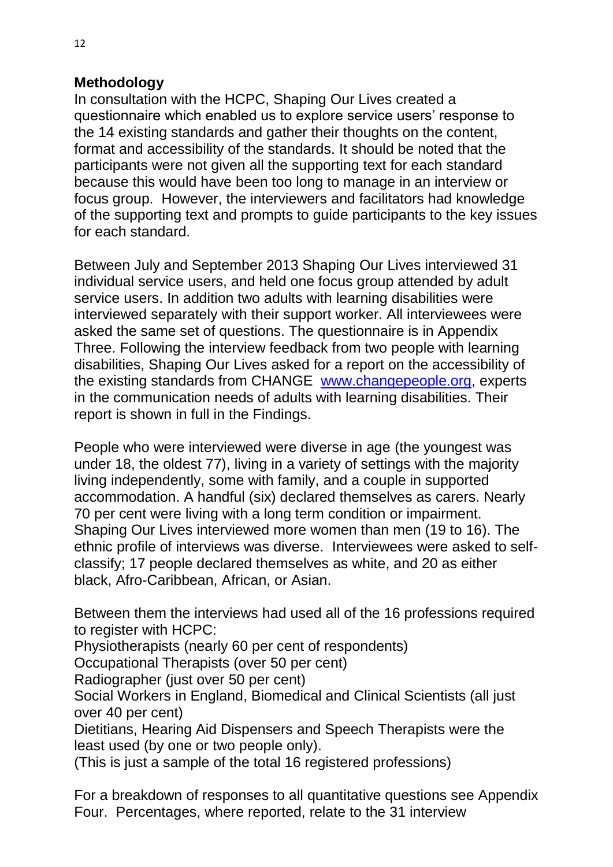## **Methodology**

In consultation with the HCPC, Shaping Our Lives created a questionnaire which enabled us to explore service users' response to the 14 existing standards and gather their thoughts on the content, format and accessibility of the standards. It should be noted that the participants were not given all the supporting text for each standard because this would have been too long to manage in an interview or focus group. However, the interviewers and facilitators had knowledge of the supporting text and prompts to guide participants to the key issues for each standard.

Between July and September 2013 Shaping Our Lives interviewed 31 individual service users, and held one focus group attended by adult service users. In addition two adults with learning disabilities were interviewed separately with their support worker. All interviewees were asked the same set of questions. The questionnaire is in Appendix Three. Following the interview feedback from two people with learning disabilities, Shaping Our Lives asked for a report on the accessibility of the existing standards from CHANGE [www.changepeople.org,](http://www.changepeople.org/) experts in the communication needs of adults with learning disabilities. Their report is shown in full in the Findings.

People who were interviewed were diverse in age (the youngest was under 18, the oldest 77), living in a variety of settings with the majority living independently, some with family, and a couple in supported accommodation. A handful (six) declared themselves as carers. Nearly 70 per cent were living with a long term condition or impairment. Shaping Our Lives interviewed more women than men (19 to 16). The ethnic profile of interviews was diverse. Interviewees were asked to selfclassify; 17 people declared themselves as white, and 20 as either black, Afro-Caribbean, African, or Asian.

Between them the interviews had used all of the 16 professions required to register with HCPC:

Physiotherapists (nearly 60 per cent of respondents)

Occupational Therapists (over 50 per cent)

Radiographer (just over 50 per cent)

Social Workers in England, Biomedical and Clinical Scientists (all just over 40 per cent)

Dietitians, Hearing Aid Dispensers and Speech Therapists were the least used (by one or two people only).

(This is just a sample of the total 16 registered professions)

For a breakdown of responses to all quantitative questions see Appendix Four. Percentages, where reported, relate to the 31 interview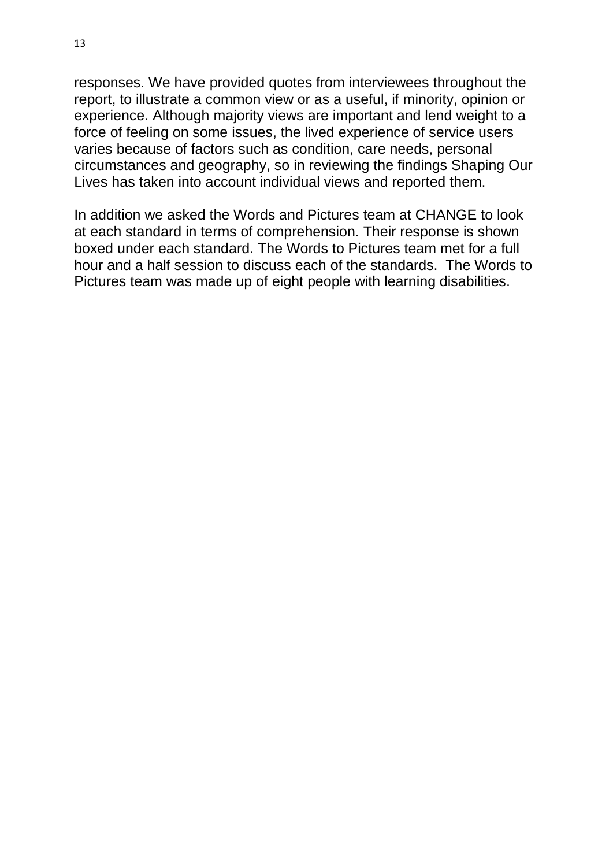responses. We have provided quotes from interviewees throughout the report, to illustrate a common view or as a useful, if minority, opinion or experience. Although majority views are important and lend weight to a force of feeling on some issues, the lived experience of service users varies because of factors such as condition, care needs, personal circumstances and geography, so in reviewing the findings Shaping Our Lives has taken into account individual views and reported them.

In addition we asked the Words and Pictures team at CHANGE to look at each standard in terms of comprehension. Their response is shown boxed under each standard. The Words to Pictures team met for a full hour and a half session to discuss each of the standards. The Words to Pictures team was made up of eight people with learning disabilities.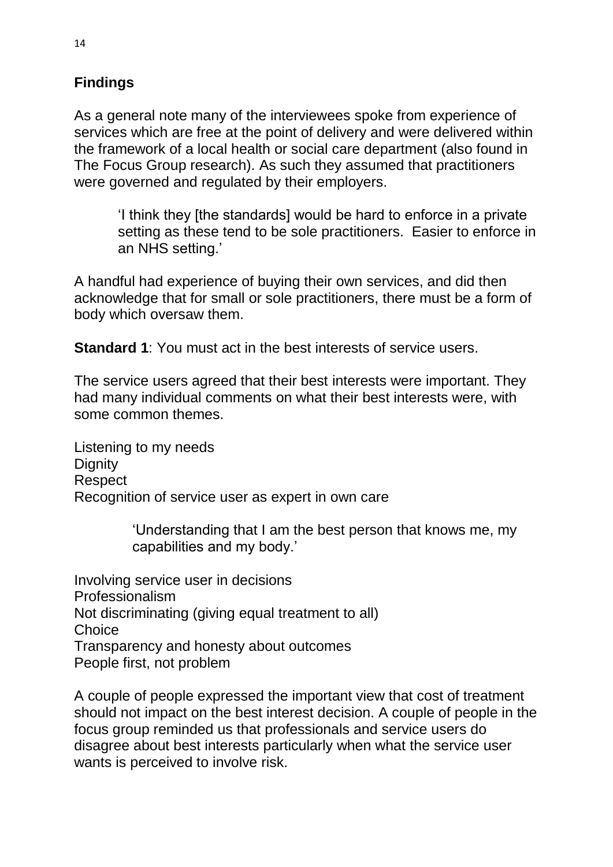# **Findings**

As a general note many of the interviewees spoke from experience of services which are free at the point of delivery and were delivered within the framework of a local health or social care department (also found in The Focus Group research). As such they assumed that practitioners were governed and regulated by their employers.

'I think they [the standards] would be hard to enforce in a private setting as these tend to be sole practitioners. Easier to enforce in an NHS setting.'

A handful had experience of buying their own services, and did then acknowledge that for small or sole practitioners, there must be a form of body which oversaw them.

**Standard 1**: You must act in the best interests of service users.

The service users agreed that their best interests were important. They had many individual comments on what their best interests were, with some common themes.

Listening to my needs **Dignity** Respect Recognition of service user as expert in own care

> 'Understanding that I am the best person that knows me, my capabilities and my body.'

Involving service user in decisions Professionalism Not discriminating (giving equal treatment to all) **Choice** Transparency and honesty about outcomes People first, not problem

A couple of people expressed the important view that cost of treatment should not impact on the best interest decision. A couple of people in the focus group reminded us that professionals and service users do disagree about best interests particularly when what the service user wants is perceived to involve risk.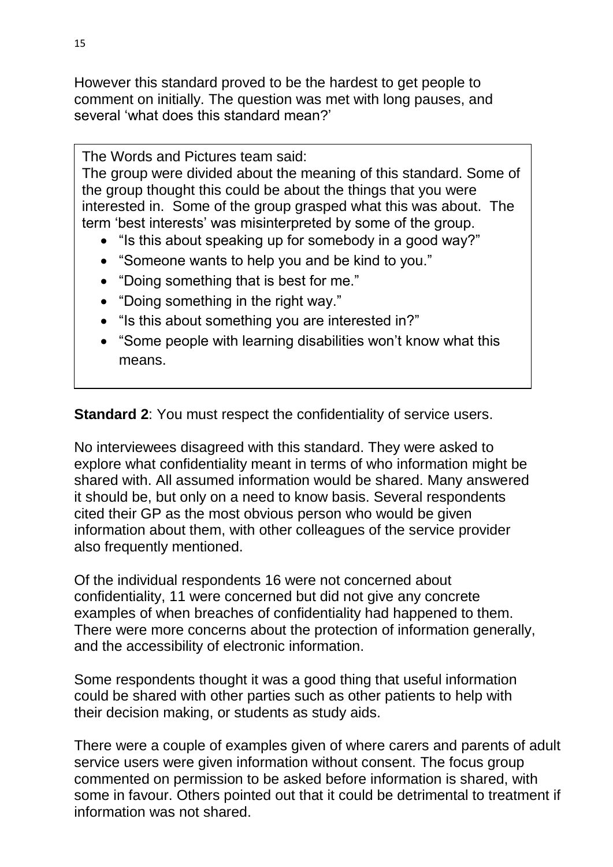However this standard proved to be the hardest to get people to comment on initially. The question was met with long pauses, and several 'what does this standard mean?'

The Words and Pictures team said:

The group were divided about the meaning of this standard. Some of the group thought this could be about the things that you were interested in. Some of the group grasped what this was about. The term 'best interests' was misinterpreted by some of the group.

- "Is this about speaking up for somebody in a good way?"
- "Someone wants to help you and be kind to you."
- "Doing something that is best for me."
- "Doing something in the right way."
- "Is this about something you are interested in?"
- "Some people with learning disabilities won't know what this means.

**Standard 2**: You must respect the confidentiality of service users.

No interviewees disagreed with this standard. They were asked to explore what confidentiality meant in terms of who information might be shared with. All assumed information would be shared. Many answered it should be, but only on a need to know basis. Several respondents cited their GP as the most obvious person who would be given information about them, with other colleagues of the service provider also frequently mentioned.

Of the individual respondents 16 were not concerned about confidentiality, 11 were concerned but did not give any concrete examples of when breaches of confidentiality had happened to them. There were more concerns about the protection of information generally, and the accessibility of electronic information.

Some respondents thought it was a good thing that useful information could be shared with other parties such as other patients to help with their decision making, or students as study aids.

There were a couple of examples given of where carers and parents of adult service users were given information without consent. The focus group commented on permission to be asked before information is shared, with some in favour. Others pointed out that it could be detrimental to treatment if information was not shared.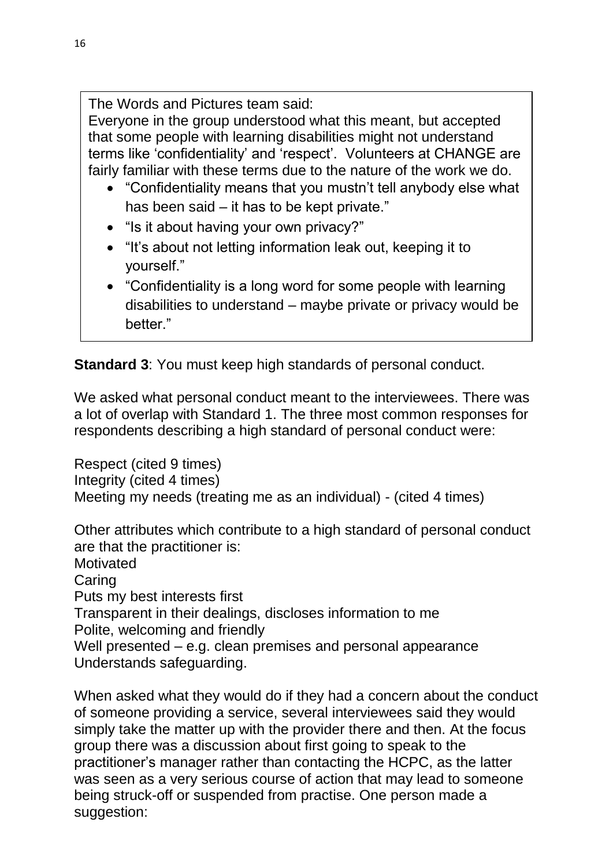The Words and Pictures team said:

Everyone in the group understood what this meant, but accepted that some people with learning disabilities might not understand terms like 'confidentiality' and 'respect'. Volunteers at CHANGE are fairly familiar with these terms due to the nature of the work we do.

- "Confidentiality means that you mustn't tell anybody else what has been said – it has to be kept private."
- "Is it about having your own privacy?"
- "It's about not letting information leak out, keeping it to yourself."
- "Confidentiality is a long word for some people with learning disabilities to understand – maybe private or privacy would be better."

 $\mathcal{S}$  is the simulation of  $\mathcal{S}$  and  $\mathcal{S}$  and  $\mathcal{S}$  and  $\mathcal{S}$  and  $\mathcal{S}$  and  $\mathcal{S}$  and  $\mathcal{S}$  and  $\mathcal{S}$  and  $\mathcal{S}$  and  $\mathcal{S}$  and  $\mathcal{S}$  and  $\mathcal{S}$  and  $\mathcal{S}$  and  $\mathcal{S}$  and  $\mathcal{S}$ 

**Standard 3**: You must keep high standards of personal conduct.

We asked what personal conduct meant to the interviewees. There was a lot of overlap with Standard 1. The three most common responses for respondents describing a high standard of personal conduct were:

Respect (cited 9 times) Integrity (cited 4 times) Meeting my needs (treating me as an individual) - (cited 4 times)

Other attributes which contribute to a high standard of personal conduct are that the practitioner is:

**Motivated** 

Caring

Puts my best interests first

Transparent in their dealings, discloses information to me Polite, welcoming and friendly

Well presented – e.g. clean premises and personal appearance Understands safeguarding.

When asked what they would do if they had a concern about the conduct of someone providing a service, several interviewees said they would simply take the matter up with the provider there and then. At the focus group there was a discussion about first going to speak to the practitioner's manager rather than contacting the HCPC, as the latter was seen as a very serious course of action that may lead to someone being struck-off or suspended from practise. One person made a suggestion: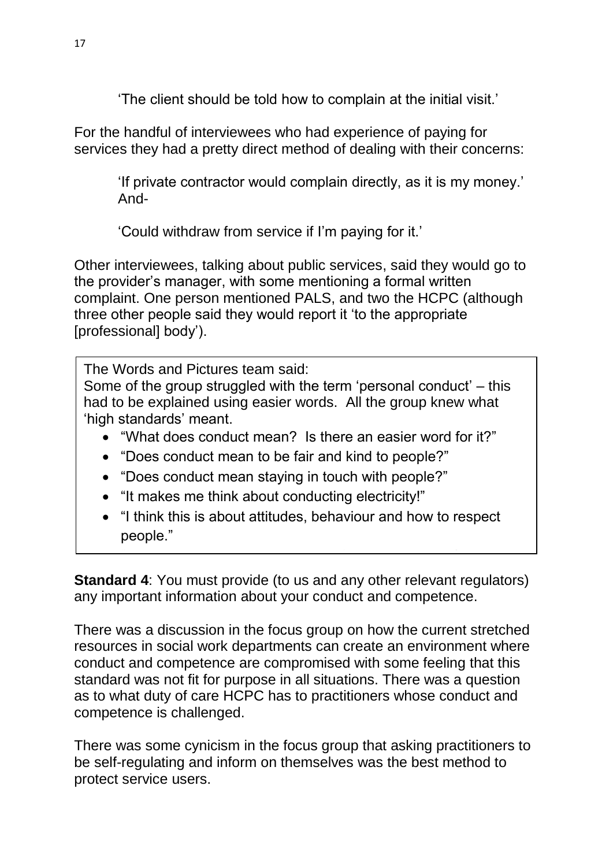'The client should be told how to complain at the initial visit.'

For the handful of interviewees who had experience of paying for services they had a pretty direct method of dealing with their concerns:

'If private contractor would complain directly, as it is my money.' And-

'Could withdraw from service if I'm paying for it.'

Other interviewees, talking about public services, said they would go to the provider's manager, with some mentioning a formal written complaint. One person mentioned PALS, and two the HCPC (although three other people said they would report it 'to the appropriate [professional] body').

The Words and Pictures team said:

Some of the group struggled with the term 'personal conduct' – this had to be explained using easier words. All the group knew what 'high standards' meant.

- "What does conduct mean? Is there an easier word for it?"
- "Does conduct mean to be fair and kind to people?"
- "Does conduct mean staying in touch with people?"
- "It makes me think about conducting electricity!"
- "I think this is about attitudes, behaviour and how to respect people."

 $\overline{\phantom{a}}$  is the words the words 'personal conduction  $\overline{\phantom{a}}$ 

**Standard 4**: You must provide (to us and any other relevant regulators) any important information about your conduct and competence.

There was a discussion in the focus group on how the current stretched resources in social work departments can create an environment where conduct and competence are compromised with some feeling that this standard was not fit for purpose in all situations. There was a question as to what duty of care HCPC has to practitioners whose conduct and competence is challenged.

There was some cynicism in the focus group that asking practitioners to be self-regulating and inform on themselves was the best method to protect service users.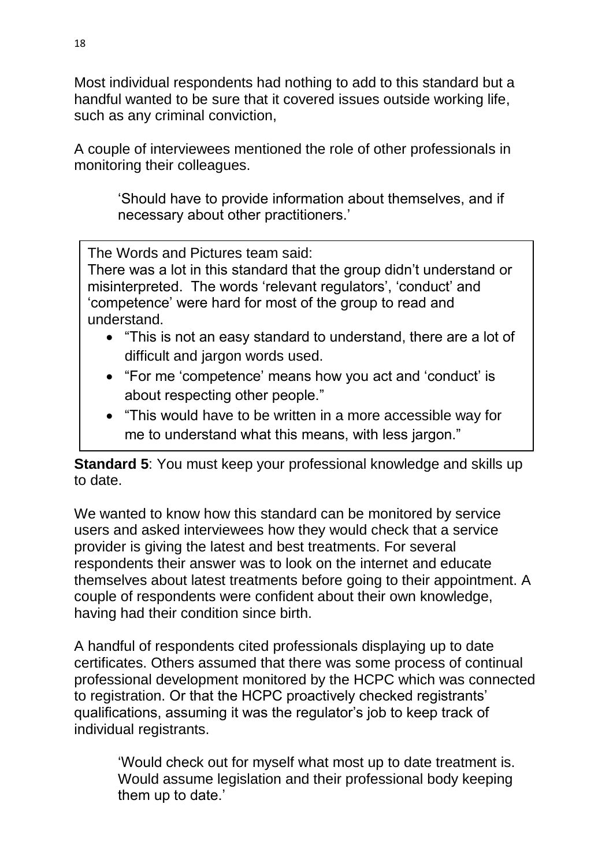Most individual respondents had nothing to add to this standard but a handful wanted to be sure that it covered issues outside working life, such as any criminal conviction,

A couple of interviewees mentioned the role of other professionals in monitoring their colleagues.

'Should have to provide information about themselves, and if necessary about other practitioners.'

The Words and Pictures team said:

There was a lot in this standard that the group didn't understand or misinterpreted. The words 'relevant regulators', 'conduct' and 'competence' were hard for most of the group to read and understand.

- "This is not an easy standard to understand, there are a lot of difficult and jargon words used.
- "For me 'competence' means how you act and 'conduct' is about respecting other people."
- "This would have to be written in a more accessible way for me to understand what this means, with less jargon."

**Standard 5:** You must keep your professional knowledge and skills up to date.

We wanted to know how this standard can be monitored by service users and asked interviewees how they would check that a service provider is giving the latest and best treatments. For several respondents their answer was to look on the internet and educate themselves about latest treatments before going to their appointment. A couple of respondents were confident about their own knowledge, having had their condition since birth.

A handful of respondents cited professionals displaying up to date certificates. Others assumed that there was some process of continual professional development monitored by the HCPC which was connected to registration. Or that the HCPC proactively checked registrants' qualifications, assuming it was the regulator's job to keep track of individual registrants.

'Would check out for myself what most up to date treatment is. Would assume legislation and their professional body keeping them up to date.'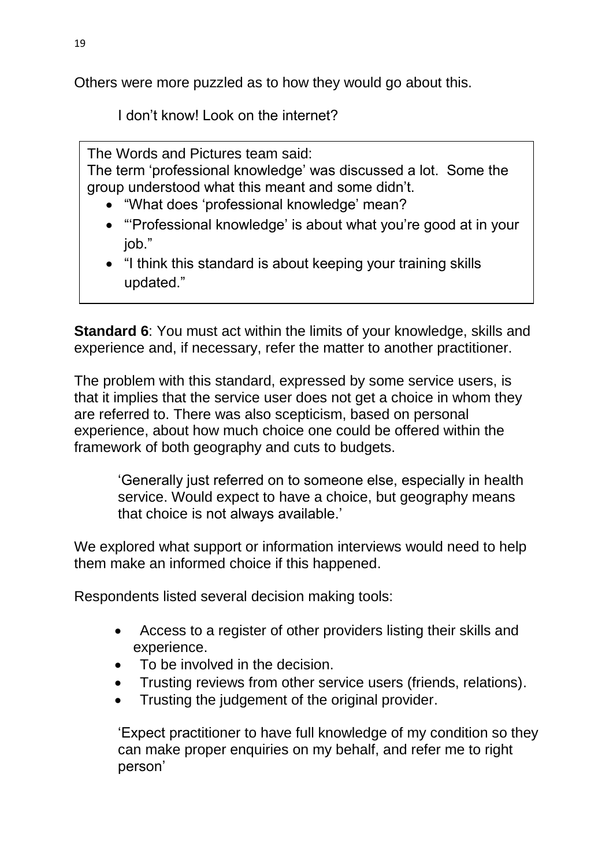Others were more puzzled as to how they would go about this.

I don't know! Look on the internet?

The Words and Pictures team said:

The term 'professional knowledge' was discussed a lot. Some the group understood what this meant and some didn't.

- "What does 'professional knowledge' mean?
- "'Professional knowledge' is about what you're good at in your job."
- "I think this standard is about keeping your training skills updated."

**Standard 6:** You must act within the limits of your knowledge, skills and experience and, if necessary, refer the matter to another practitioner.

The problem with this standard, expressed by some service users, is that it implies that the service user does not get a choice in whom they are referred to. There was also scepticism, based on personal experience, about how much choice one could be offered within the framework of both geography and cuts to budgets.

'Generally just referred on to someone else, especially in health service. Would expect to have a choice, but geography means that choice is not always available.'

We explored what support or information interviews would need to help them make an informed choice if this happened.

Respondents listed several decision making tools:

- Access to a register of other providers listing their skills and experience.
- To be involved in the decision.
- Trusting reviews from other service users (friends, relations).
- Trusting the judgement of the original provider.

'Expect practitioner to have full knowledge of my condition so they can make proper enquiries on my behalf, and refer me to right person'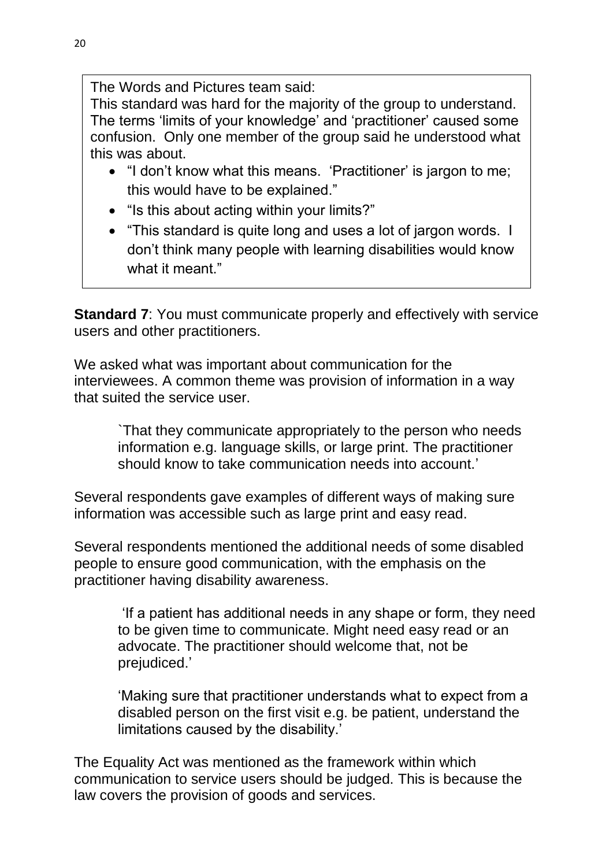The Words and Pictures team said:

This standard was hard for the majority of the group to understand. The terms 'limits of your knowledge' and 'practitioner' caused some confusion. Only one member of the group said he understood what this was about.

- "I don't know what this means. 'Practitioner' is jargon to me; this would have to be explained."
- "Is this about acting within your limits?"
- "This standard is quite long and uses a lot of jargon words. I don't think many people with learning disabilities would know what it meant."

**Standard 7:** You must communicate properly and effectively with service users and other practitioners.

We asked what was important about communication for the interviewees. A common theme was provision of information in a way that suited the service user.

`That they communicate appropriately to the person who needs information e.g. language skills, or large print. The practitioner should know to take communication needs into account.'

Several respondents gave examples of different ways of making sure information was accessible such as large print and easy read.

Several respondents mentioned the additional needs of some disabled people to ensure good communication, with the emphasis on the practitioner having disability awareness.

'If a patient has additional needs in any shape or form, they need to be given time to communicate. Might need easy read or an advocate. The practitioner should welcome that, not be prejudiced.'

'Making sure that practitioner understands what to expect from a disabled person on the first visit e.g. be patient, understand the limitations caused by the disability.'

The Equality Act was mentioned as the framework within which communication to service users should be judged. This is because the law covers the provision of goods and services.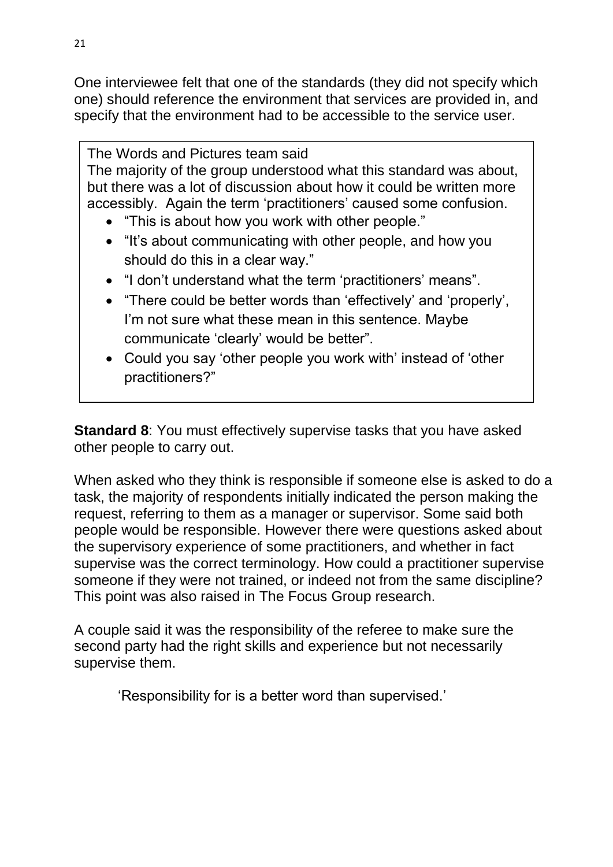One interviewee felt that one of the standards (they did not specify which one) should reference the environment that services are provided in, and specify that the environment had to be accessible to the service user.

The Words and Pictures team said The majority of the group understood what this standard was about, but there was a lot of discussion about how it could be written more accessibly. Again the term 'practitioners' caused some confusion.

- "This is about how you work with other people."
- "It's about communicating with other people, and how you should do this in a clear way."
- "I don't understand what the term 'practitioners' means".
- "There could be better words than 'effectively' and 'properly', I'm not sure what these mean in this sentence. Maybe communicate 'clearly' would be better".
- Could you say 'other people you work with' instead of 'other practitioners?"

**Standard 8**: You must effectively supervise tasks that you have asked other people to carry out.

When asked who they think is responsible if someone else is asked to do a task, the majority of respondents initially indicated the person making the request, referring to them as a manager or supervisor. Some said both people would be responsible. However there were questions asked about the supervisory experience of some practitioners, and whether in fact supervise was the correct terminology. How could a practitioner supervise someone if they were not trained, or indeed not from the same discipline? This point was also raised in The Focus Group research.

A couple said it was the responsibility of the referee to make sure the second party had the right skills and experience but not necessarily supervise them.

'Responsibility for is a better word than supervised.'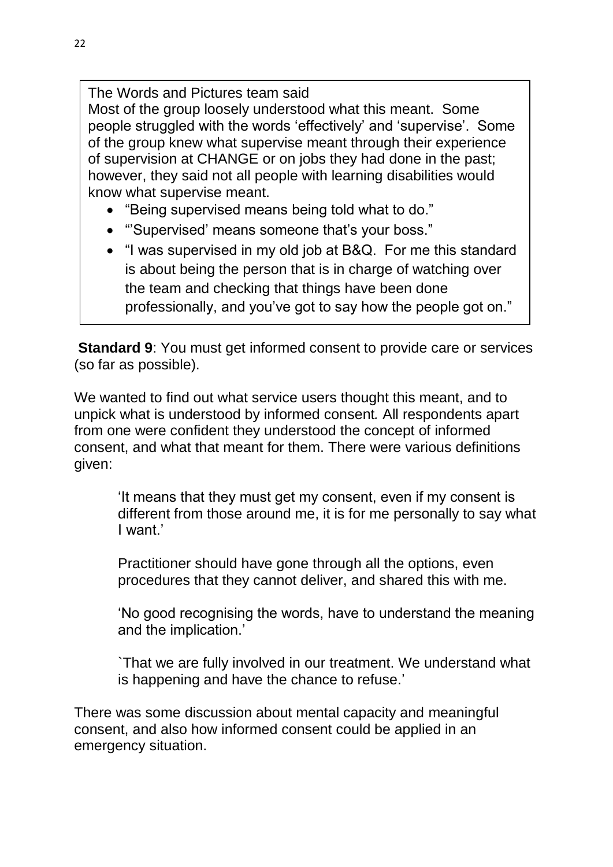The Words and Pictures team said Most of the group loosely understood what this meant. Some people struggled with the words 'effectively' and 'supervise'. Some of the group knew what supervise meant through their experience of supervision at CHANGE or on jobs they had done in the past; however, they said not all people with learning disabilities would know what supervise meant.

- "Being supervised means being told what to do."
- "'Supervised' means someone that's your boss."
- "I was supervised in my old job at B&Q. For me this standard is about being the person that is in charge of watching over the team and checking that things have been done professionally, and you've got to say how the people got on."

**Standard 9**: You must get informed consent to provide care or services (so far as possible).

We wanted to find out what service users thought this meant, and to unpick what is understood by informed consent*.* All respondents apart from one were confident they understood the concept of informed consent, and what that meant for them. There were various definitions given:

'It means that they must get my consent, even if my consent is different from those around me, it is for me personally to say what I want.'

Practitioner should have gone through all the options, even procedures that they cannot deliver, and shared this with me.

'No good recognising the words, have to understand the meaning and the implication.'

`That we are fully involved in our treatment. We understand what is happening and have the chance to refuse.'

There was some discussion about mental capacity and meaningful consent, and also how informed consent could be applied in an emergency situation.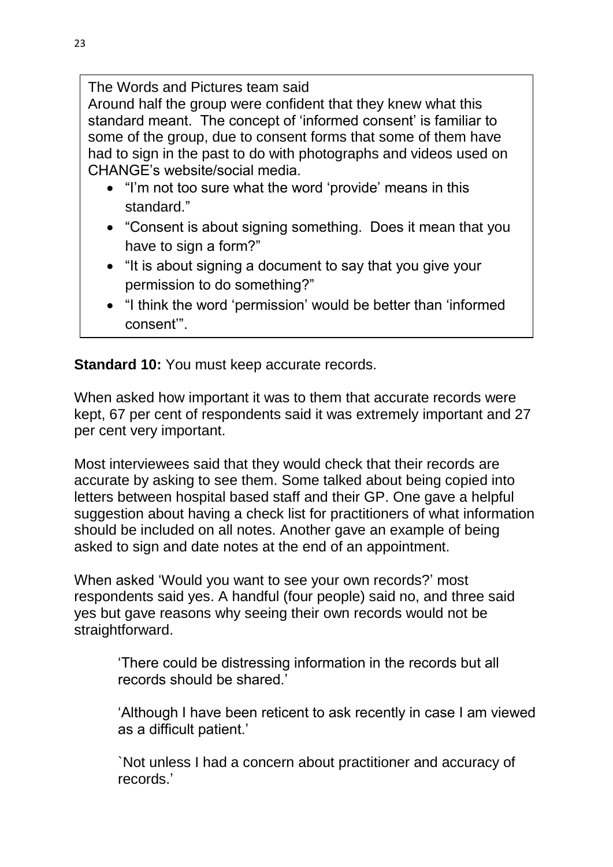The Words and Pictures team said

Around half the group were confident that they knew what this standard meant. The concept of 'informed consent' is familiar to some of the group, due to consent forms that some of them have had to sign in the past to do with photographs and videos used on CHANGE's website/social media.

- "I'm not too sure what the word 'provide' means in this standard."
- "Consent is about signing something. Does it mean that you have to sign a form?"
- "It is about signing a document to say that you give your permission to do something?"
- "I think the word 'permission' would be better than 'informed consent'".

**Standard 10: You must keep accurate records.** 

When asked how important it was to them that accurate records were kept, 67 per cent of respondents said it was extremely important and 27 per cent very important.

Most interviewees said that they would check that their records are accurate by asking to see them. Some talked about being copied into letters between hospital based staff and their GP. One gave a helpful suggestion about having a check list for practitioners of what information should be included on all notes. Another gave an example of being asked to sign and date notes at the end of an appointment.

When asked 'Would you want to see your own records?' most respondents said yes. A handful (four people) said no, and three said yes but gave reasons why seeing their own records would not be straightforward.

'There could be distressing information in the records but all records should be shared.'

'Although I have been reticent to ask recently in case I am viewed as a difficult patient.'

`Not unless I had a concern about practitioner and accuracy of records.'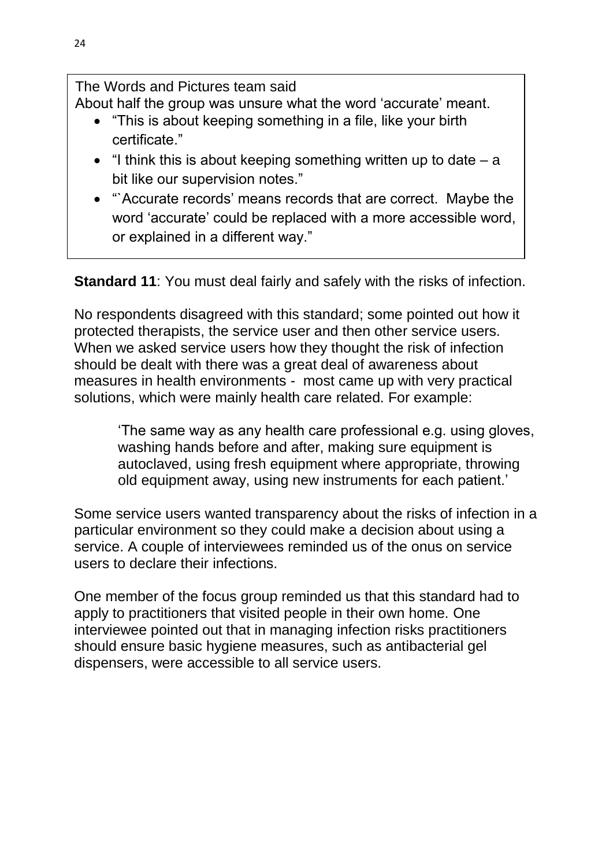The Words and Pictures team said About half the group was unsure what the word 'accurate' meant.

- "This is about keeping something in a file, like your birth certificate."
- $\bullet$  "I think this is about keeping something written up to date  $-$  a bit like our supervision notes."
- "`Accurate records' means records that are correct. Maybe the word 'accurate' could be replaced with a more accessible word, or explained in a different way."

**Standard 11**: You must deal fairly and safely with the risks of infection.

No respondents disagreed with this standard; some pointed out how it protected therapists, the service user and then other service users. When we asked service users how they thought the risk of infection should be dealt with there was a great deal of awareness about measures in health environments - most came up with very practical solutions, which were mainly health care related. For example:

'The same way as any health care professional e.g. using gloves, washing hands before and after, making sure equipment is autoclaved, using fresh equipment where appropriate, throwing old equipment away, using new instruments for each patient.'

Some service users wanted transparency about the risks of infection in a particular environment so they could make a decision about using a service. A couple of interviewees reminded us of the onus on service users to declare their infections.

One member of the focus group reminded us that this standard had to apply to practitioners that visited people in their own home. One interviewee pointed out that in managing infection risks practitioners should ensure basic hygiene measures, such as antibacterial gel dispensers, were accessible to all service users.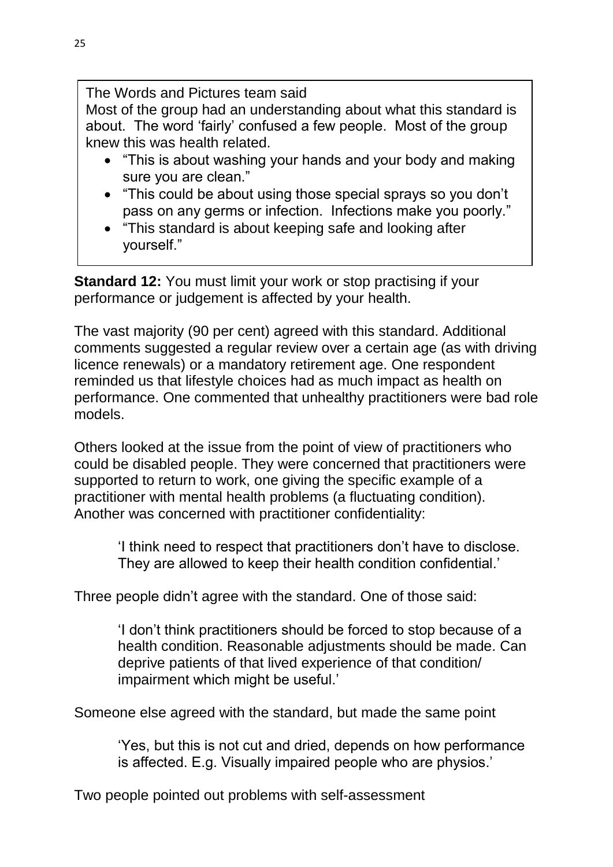The Words and Pictures team said Most of the group had an understanding about what this standard is

about. The word 'fairly' confused a few people. Most of the group knew this was health related.

- "This is about washing your hands and your body and making sure you are clean."
- "This could be about using those special sprays so you don't pass on any germs or infection. Infections make you poorly."
- "This standard is about keeping safe and looking after yourself."

**Standard 12:** You must limit your work or stop practising if your performance or judgement is affected by your health.

The vast majority (90 per cent) agreed with this standard. Additional comments suggested a regular review over a certain age (as with driving licence renewals) or a mandatory retirement age. One respondent reminded us that lifestyle choices had as much impact as health on performance. One commented that unhealthy practitioners were bad role models.

Others looked at the issue from the point of view of practitioners who could be disabled people. They were concerned that practitioners were supported to return to work, one giving the specific example of a practitioner with mental health problems (a fluctuating condition). Another was concerned with practitioner confidentiality:

'I think need to respect that practitioners don't have to disclose. They are allowed to keep their health condition confidential.'

Three people didn't agree with the standard. One of those said:

'I don't think practitioners should be forced to stop because of a health condition. Reasonable adjustments should be made. Can deprive patients of that lived experience of that condition/ impairment which might be useful.'

Someone else agreed with the standard, but made the same point

'Yes, but this is not cut and dried, depends on how performance is affected. E.g. Visually impaired people who are physios.'

Two people pointed out problems with self-assessment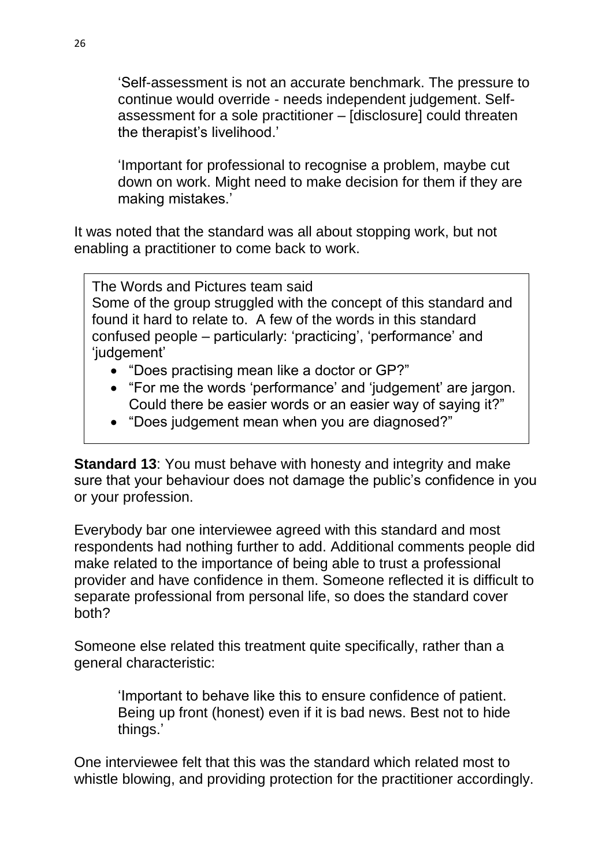'Self-assessment is not an accurate benchmark. The pressure to continue would override - needs independent judgement. Selfassessment for a sole practitioner – [disclosure] could threaten the therapist's livelihood.'

'Important for professional to recognise a problem, maybe cut down on work. Might need to make decision for them if they are making mistakes.'

It was noted that the standard was all about stopping work, but not enabling a practitioner to come back to work.

The Words and Pictures team said Some of the group struggled with the concept of this standard and found it hard to relate to. A few of the words in this standard confused people – particularly: 'practicing', 'performance' and 'judgement'

- "Does practising mean like a doctor or GP?"
- "For me the words 'performance' and 'judgement' are jargon. Could there be easier words or an easier way of saying it?"
- "Does judgement mean when you are diagnosed?"

**Standard 13**: You must behave with honesty and integrity and make sure that your behaviour does not damage the public's confidence in you or your profession.

Everybody bar one interviewee agreed with this standard and most respondents had nothing further to add. Additional comments people did make related to the importance of being able to trust a professional provider and have confidence in them. Someone reflected it is difficult to separate professional from personal life, so does the standard cover both?

Someone else related this treatment quite specifically, rather than a general characteristic:

'Important to behave like this to ensure confidence of patient. Being up front (honest) even if it is bad news. Best not to hide things.'

One interviewee felt that this was the standard which related most to whistle blowing, and providing protection for the practitioner accordingly.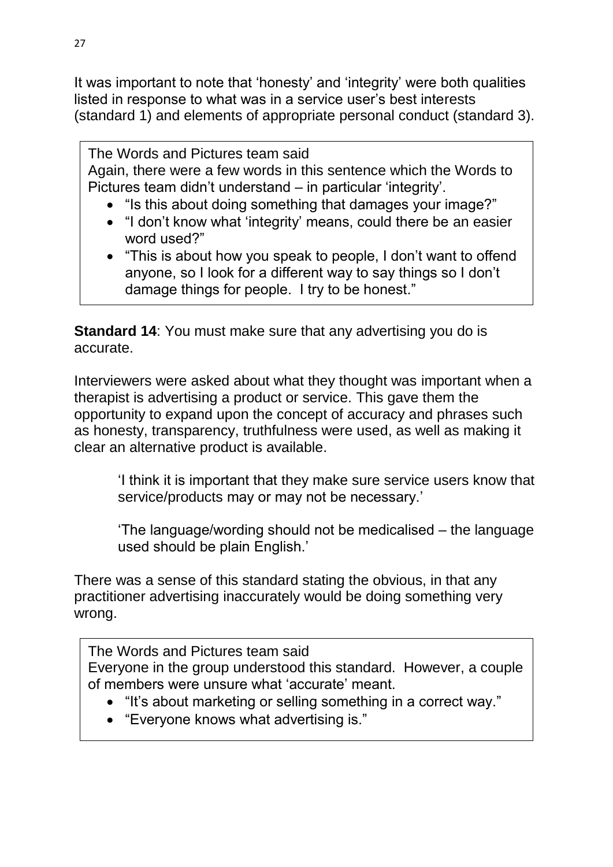It was important to note that 'honesty' and 'integrity' were both qualities listed in response to what was in a service user's best interests (standard 1) and elements of appropriate personal conduct (standard 3).

The Words and Pictures team said Again, there were a few words in this sentence which the Words to Pictures team didn't understand – in particular 'integrity'.

- "Is this about doing something that damages your image?"
- "I don't know what 'integrity' means, could there be an easier word used?"
- "This is about how you speak to people, I don't want to offend anyone, so I look for a different way to say things so I don't damage things for people. I try to be honest."

**Standard 14**: You must make sure that any advertising you do is accurate.

Interviewers were asked about what they thought was important when a therapist is advertising a product or service. This gave them the opportunity to expand upon the concept of accuracy and phrases such as honesty, transparency, truthfulness were used, as well as making it clear an alternative product is available.

'I think it is important that they make sure service users know that service/products may or may not be necessary.'

'The language/wording should not be medicalised – the language used should be plain English.'

There was a sense of this standard stating the obvious, in that any practitioner advertising inaccurately would be doing something very wrong.

The Words and Pictures team said Everyone in the group understood this standard. However, a couple of members were unsure what 'accurate' meant.

- "It's about marketing or selling something in a correct way."
- "Everyone knows what advertising is."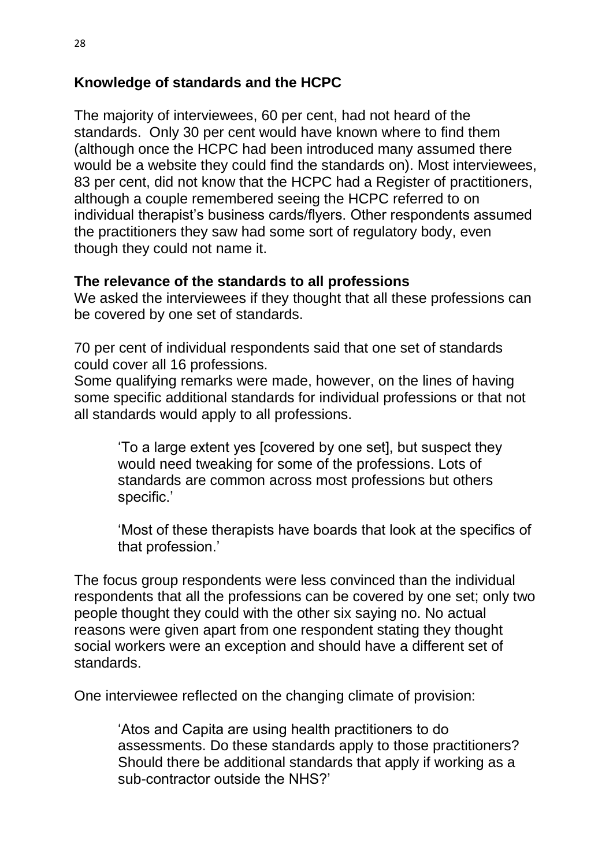# **Knowledge of standards and the HCPC**

The majority of interviewees, 60 per cent, had not heard of the standards. Only 30 per cent would have known where to find them (although once the HCPC had been introduced many assumed there would be a website they could find the standards on). Most interviewees, 83 per cent, did not know that the HCPC had a Register of practitioners, although a couple remembered seeing the HCPC referred to on individual therapist's business cards/flyers. Other respondents assumed the practitioners they saw had some sort of regulatory body, even though they could not name it.

#### **The relevance of the standards to all professions**

We asked the interviewees if they thought that all these professions can be covered by one set of standards.

70 per cent of individual respondents said that one set of standards could cover all 16 professions.

Some qualifying remarks were made, however, on the lines of having some specific additional standards for individual professions or that not all standards would apply to all professions.

'To a large extent yes [covered by one set], but suspect they would need tweaking for some of the professions. Lots of standards are common across most professions but others specific.'

'Most of these therapists have boards that look at the specifics of that profession.'

The focus group respondents were less convinced than the individual respondents that all the professions can be covered by one set; only two people thought they could with the other six saying no. No actual reasons were given apart from one respondent stating they thought social workers were an exception and should have a different set of standards.

One interviewee reflected on the changing climate of provision:

'Atos and Capita are using health practitioners to do assessments. Do these standards apply to those practitioners? Should there be additional standards that apply if working as a sub-contractor outside the NHS?'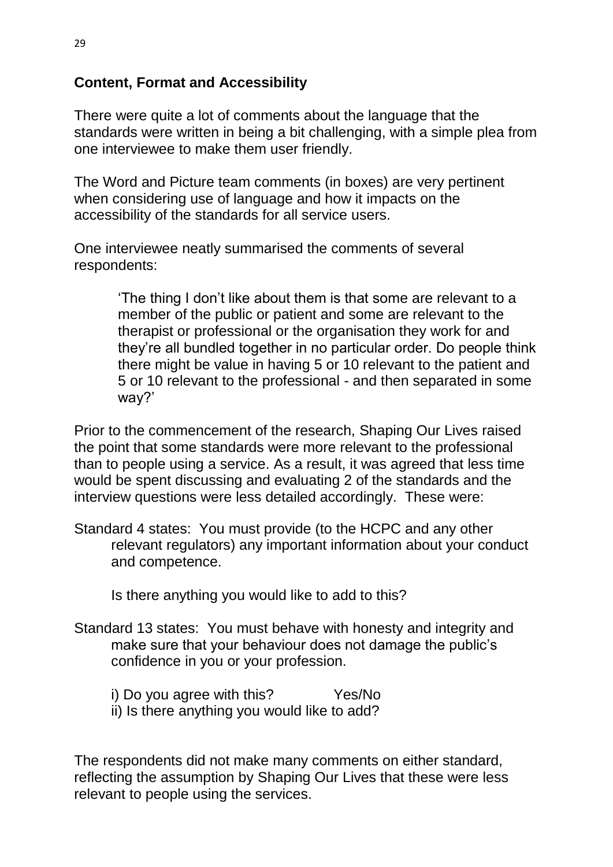# **Content, Format and Accessibility**

There were quite a lot of comments about the language that the standards were written in being a bit challenging, with a simple plea from one interviewee to make them user friendly.

The Word and Picture team comments (in boxes) are very pertinent when considering use of language and how it impacts on the accessibility of the standards for all service users.

One interviewee neatly summarised the comments of several respondents:

> 'The thing I don't like about them is that some are relevant to a member of the public or patient and some are relevant to the therapist or professional or the organisation they work for and they're all bundled together in no particular order. Do people think there might be value in having 5 or 10 relevant to the patient and 5 or 10 relevant to the professional - and then separated in some way?'

Prior to the commencement of the research, Shaping Our Lives raised the point that some standards were more relevant to the professional than to people using a service. As a result, it was agreed that less time would be spent discussing and evaluating 2 of the standards and the interview questions were less detailed accordingly. These were:

Standard 4 states: You must provide (to the HCPC and any other relevant regulators) any important information about your conduct and competence.

Is there anything you would like to add to this?

- Standard 13 states: You must behave with honesty and integrity and make sure that your behaviour does not damage the public's confidence in you or your profession.
	- i) Do you agree with this? Yes/No
	- ii) Is there anything you would like to add?

The respondents did not make many comments on either standard, reflecting the assumption by Shaping Our Lives that these were less relevant to people using the services.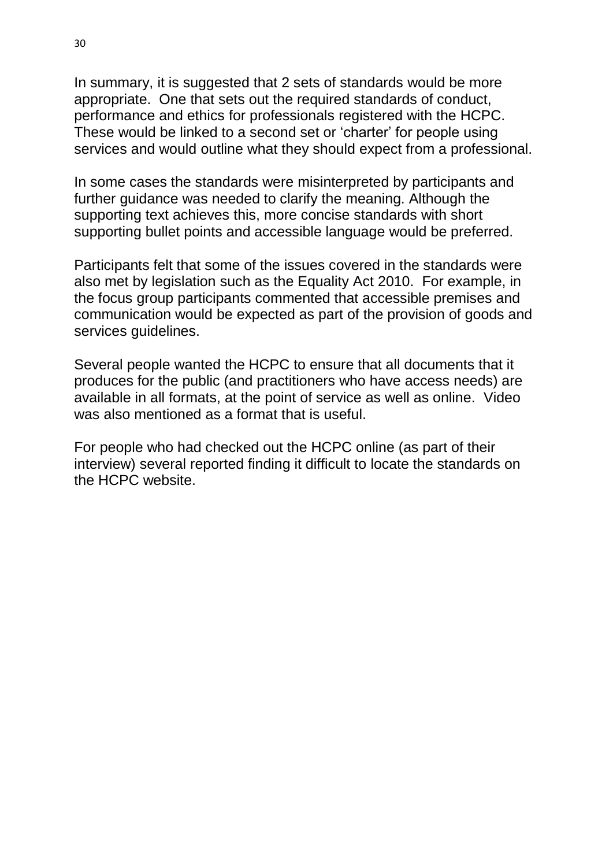In summary, it is suggested that 2 sets of standards would be more appropriate. One that sets out the required standards of conduct, performance and ethics for professionals registered with the HCPC. These would be linked to a second set or 'charter' for people using services and would outline what they should expect from a professional.

In some cases the standards were misinterpreted by participants and further guidance was needed to clarify the meaning. Although the supporting text achieves this, more concise standards with short supporting bullet points and accessible language would be preferred.

Participants felt that some of the issues covered in the standards were also met by legislation such as the Equality Act 2010. For example, in the focus group participants commented that accessible premises and communication would be expected as part of the provision of goods and services guidelines.

Several people wanted the HCPC to ensure that all documents that it produces for the public (and practitioners who have access needs) are available in all formats, at the point of service as well as online. Video was also mentioned as a format that is useful.

For people who had checked out the HCPC online (as part of their interview) several reported finding it difficult to locate the standards on the HCPC website.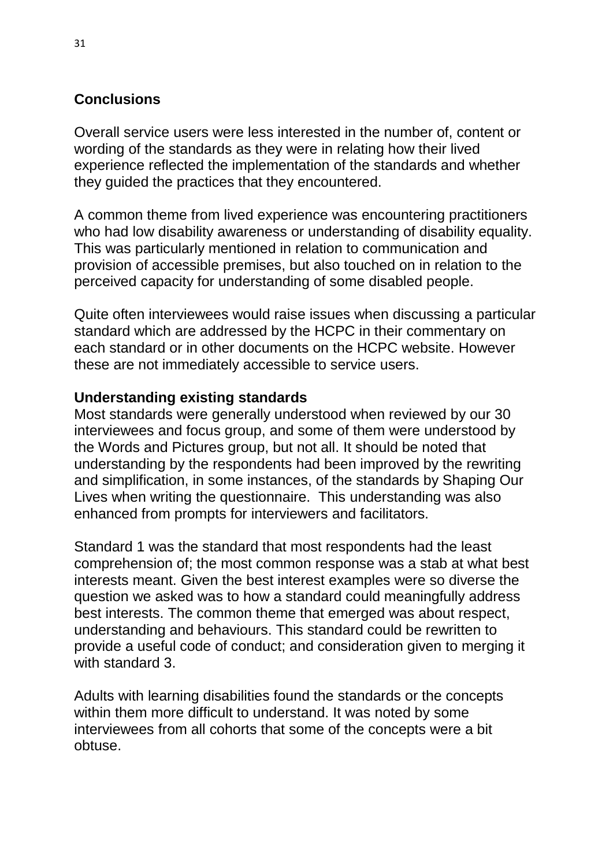# **Conclusions**

Overall service users were less interested in the number of, content or wording of the standards as they were in relating how their lived experience reflected the implementation of the standards and whether they guided the practices that they encountered.

A common theme from lived experience was encountering practitioners who had low disability awareness or understanding of disability equality. This was particularly mentioned in relation to communication and provision of accessible premises, but also touched on in relation to the perceived capacity for understanding of some disabled people.

Quite often interviewees would raise issues when discussing a particular standard which are addressed by the HCPC in their commentary on each standard or in other documents on the HCPC website. However these are not immediately accessible to service users.

# **Understanding existing standards**

Most standards were generally understood when reviewed by our 30 interviewees and focus group, and some of them were understood by the Words and Pictures group, but not all. It should be noted that understanding by the respondents had been improved by the rewriting and simplification, in some instances, of the standards by Shaping Our Lives when writing the questionnaire. This understanding was also enhanced from prompts for interviewers and facilitators.

Standard 1 was the standard that most respondents had the least comprehension of; the most common response was a stab at what best interests meant. Given the best interest examples were so diverse the question we asked was to how a standard could meaningfully address best interests. The common theme that emerged was about respect, understanding and behaviours. This standard could be rewritten to provide a useful code of conduct; and consideration given to merging it with standard 3.

Adults with learning disabilities found the standards or the concepts within them more difficult to understand. It was noted by some interviewees from all cohorts that some of the concepts were a bit obtuse.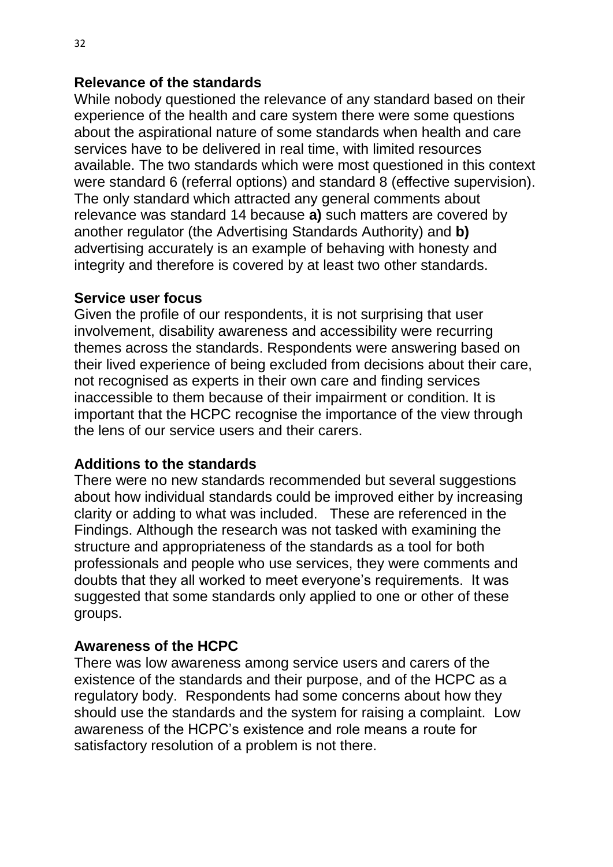#### **Relevance of the standards**

While nobody questioned the relevance of any standard based on their experience of the health and care system there were some questions about the aspirational nature of some standards when health and care services have to be delivered in real time, with limited resources available. The two standards which were most questioned in this context were standard 6 (referral options) and standard 8 (effective supervision). The only standard which attracted any general comments about relevance was standard 14 because **a)** such matters are covered by another regulator (the Advertising Standards Authority) and **b)** advertising accurately is an example of behaving with honesty and integrity and therefore is covered by at least two other standards.

#### **Service user focus**

Given the profile of our respondents, it is not surprising that user involvement, disability awareness and accessibility were recurring themes across the standards. Respondents were answering based on their lived experience of being excluded from decisions about their care, not recognised as experts in their own care and finding services inaccessible to them because of their impairment or condition. It is important that the HCPC recognise the importance of the view through the lens of our service users and their carers.

#### **Additions to the standards**

There were no new standards recommended but several suggestions about how individual standards could be improved either by increasing clarity or adding to what was included. These are referenced in the Findings. Although the research was not tasked with examining the structure and appropriateness of the standards as a tool for both professionals and people who use services, they were comments and doubts that they all worked to meet everyone's requirements. It was suggested that some standards only applied to one or other of these groups.

# **Awareness of the HCPC**

There was low awareness among service users and carers of the existence of the standards and their purpose, and of the HCPC as a regulatory body. Respondents had some concerns about how they should use the standards and the system for raising a complaint. Low awareness of the HCPC's existence and role means a route for satisfactory resolution of a problem is not there.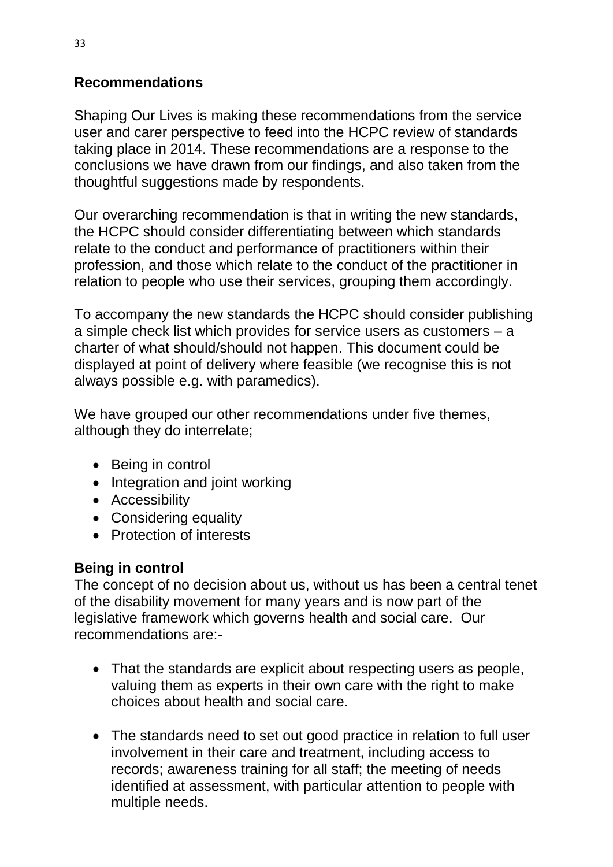# **Recommendations**

Shaping Our Lives is making these recommendations from the service user and carer perspective to feed into the HCPC review of standards taking place in 2014. These recommendations are a response to the conclusions we have drawn from our findings, and also taken from the thoughtful suggestions made by respondents.

Our overarching recommendation is that in writing the new standards, the HCPC should consider differentiating between which standards relate to the conduct and performance of practitioners within their profession, and those which relate to the conduct of the practitioner in relation to people who use their services, grouping them accordingly.

To accompany the new standards the HCPC should consider publishing a simple check list which provides for service users as customers – a charter of what should/should not happen. This document could be displayed at point of delivery where feasible (we recognise this is not always possible e.g. with paramedics).

We have grouped our other recommendations under five themes, although they do interrelate;

- Being in control
- Integration and joint working
- Accessibility
- Considering equality
- Protection of interests

# **Being in control**

The concept of no decision about us, without us has been a central tenet of the disability movement for many years and is now part of the legislative framework which governs health and social care. Our recommendations are:-

- That the standards are explicit about respecting users as people, valuing them as experts in their own care with the right to make choices about health and social care.
- The standards need to set out good practice in relation to full user involvement in their care and treatment, including access to records; awareness training for all staff; the meeting of needs identified at assessment, with particular attention to people with multiple needs.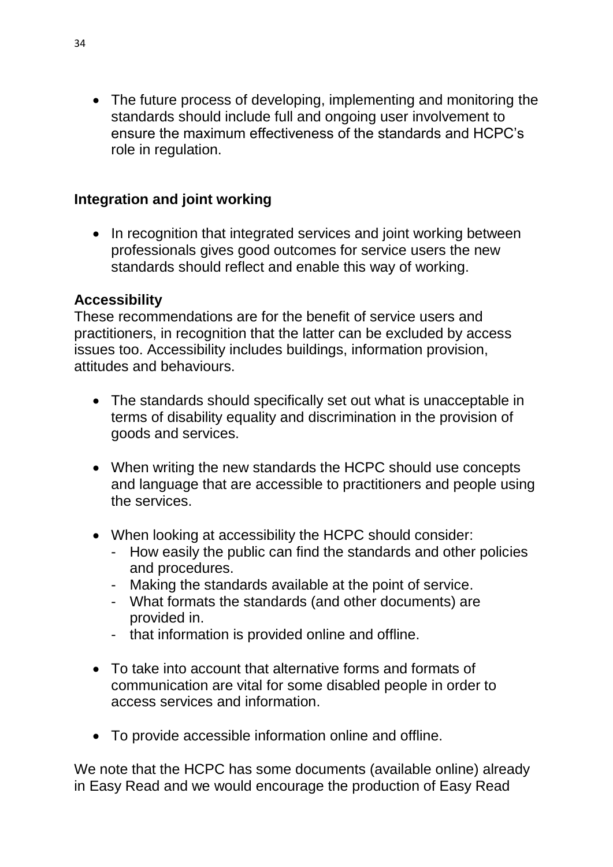• The future process of developing, implementing and monitoring the standards should include full and ongoing user involvement to ensure the maximum effectiveness of the standards and HCPC's role in regulation.

# **Integration and joint working**

• In recognition that integrated services and joint working between professionals gives good outcomes for service users the new standards should reflect and enable this way of working.

#### **Accessibility**

These recommendations are for the benefit of service users and practitioners, in recognition that the latter can be excluded by access issues too. Accessibility includes buildings, information provision, attitudes and behaviours.

- The standards should specifically set out what is unacceptable in terms of disability equality and discrimination in the provision of goods and services.
- When writing the new standards the HCPC should use concepts and language that are accessible to practitioners and people using the services.
- When looking at accessibility the HCPC should consider:
	- How easily the public can find the standards and other policies and procedures.
	- Making the standards available at the point of service.
	- What formats the standards (and other documents) are provided in.
	- that information is provided online and offline.
- To take into account that alternative forms and formats of communication are vital for some disabled people in order to access services and information.
- To provide accessible information online and offline.

We note that the HCPC has some documents (available online) already in Easy Read and we would encourage the production of Easy Read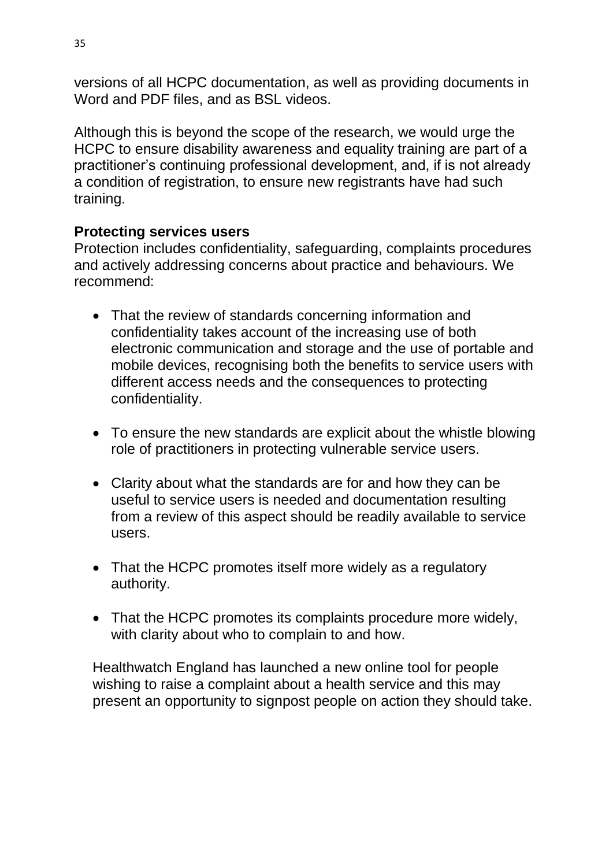versions of all HCPC documentation, as well as providing documents in Word and PDF files, and as BSL videos.

Although this is beyond the scope of the research, we would urge the HCPC to ensure disability awareness and equality training are part of a practitioner's continuing professional development, and, if is not already a condition of registration, to ensure new registrants have had such training.

# **Protecting services users**

Protection includes confidentiality, safeguarding, complaints procedures and actively addressing concerns about practice and behaviours. We recommend:

- That the review of standards concerning information and confidentiality takes account of the increasing use of both electronic communication and storage and the use of portable and mobile devices, recognising both the benefits to service users with different access needs and the consequences to protecting confidentiality.
- To ensure the new standards are explicit about the whistle blowing role of practitioners in protecting vulnerable service users.
- Clarity about what the standards are for and how they can be useful to service users is needed and documentation resulting from a review of this aspect should be readily available to service users.
- That the HCPC promotes itself more widely as a regulatory authority.
- That the HCPC promotes its complaints procedure more widely, with clarity about who to complain to and how.

Healthwatch England has launched a new online tool for people wishing to raise a complaint about a health service and this may present an opportunity to signpost people on action they should take.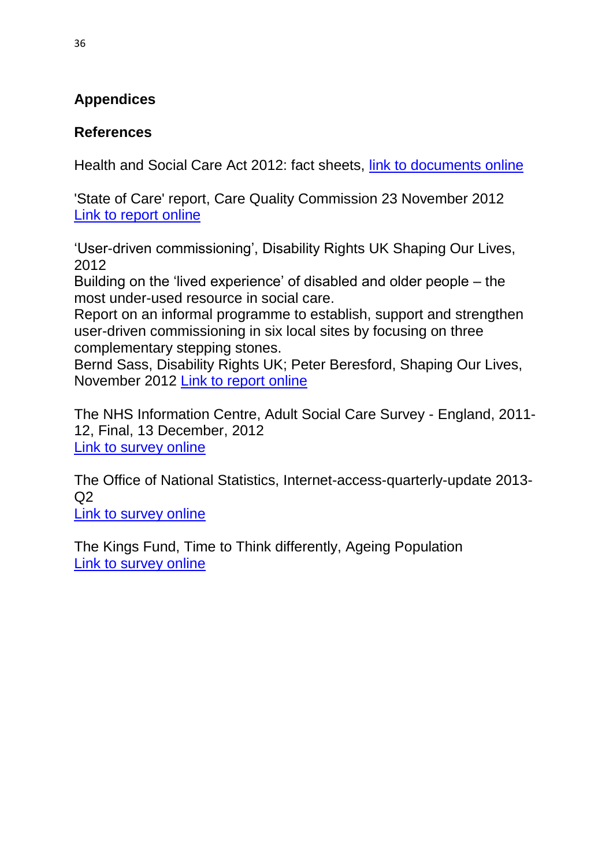# **Appendices**

# **References**

Health and Social Care Act 2012: fact sheets, [link to documents online](https://www.gov.uk/government/publications/health-and-social-care-act-2012-fact-sheets)

'State of Care' report, Care Quality Commission 23 November 2012 [Link to report online](http://www.cqc.org.uk/media/cqc-launch-state-care-report-2012)

'User-driven commissioning', Disability Rights UK Shaping Our Lives, 2012

Building on the 'lived experience' of disabled and older people – the most under-used resource in social care.

Report on an informal programme to establish, support and strengthen user-driven commissioning in six local sites by focusing on three complementary stepping stones.

Bernd Sass, Disability Rights UK; Peter Beresford, Shaping Our Lives, November 2012 [Link to report online](http://www.disabilityrightsuk.org/userdrivencommissioning.htm)

The NHS Information Centre, Adult Social Care Survey - England, 2011- 12, Final, 13 December, 2012 [Link to survey online](http://www.ic.nhs.uk/searchcatalogue?productid=10128&pubdate=DEC%2c2012&sort=Relevance&size=10&page=2#top)

The Office of National Statistics, Internet-access-quarterly-update 2013-  $O<sub>2</sub>$ 

[Link to survey online](http://www.ons.gov.uk/ons/rel/rdit2/internet-access-quarterly-update/q2-2013/stb-ia-q2-2013.html#tab-Overview)

The Kings Fund, Time to Think differently, Ageing Population [Link to survey online](http://www.kingsfund.org.uk/time-to-think-differently/trends/demography/ageing-population)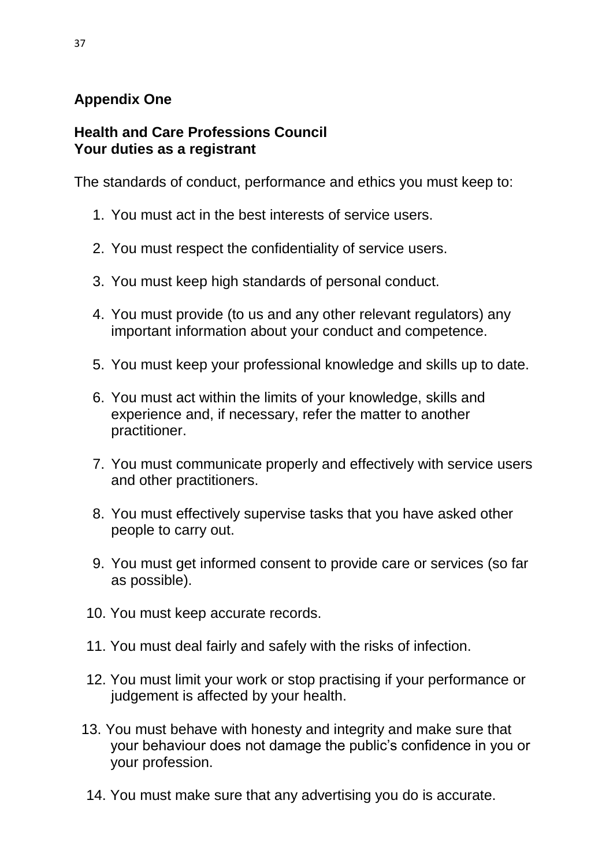# **Appendix One**

#### **Health and Care Professions Council Your duties as a registrant**

The standards of conduct, performance and ethics you must keep to:

- 1. You must act in the best interests of service users.
- 2. You must respect the confidentiality of service users.
- 3. You must keep high standards of personal conduct.
- 4. You must provide (to us and any other relevant regulators) any important information about your conduct and competence.
- 5. You must keep your professional knowledge and skills up to date.
- 6. You must act within the limits of your knowledge, skills and experience and, if necessary, refer the matter to another practitioner.
- 7. You must communicate properly and effectively with service users and other practitioners.
- 8. You must effectively supervise tasks that you have asked other people to carry out.
- 9. You must get informed consent to provide care or services (so far as possible).
- 10. You must keep accurate records.
- 11. You must deal fairly and safely with the risks of infection.
- 12. You must limit your work or stop practising if your performance or judgement is affected by your health.
- 13. You must behave with honesty and integrity and make sure that your behaviour does not damage the public's confidence in you or your profession.
- 14. You must make sure that any advertising you do is accurate.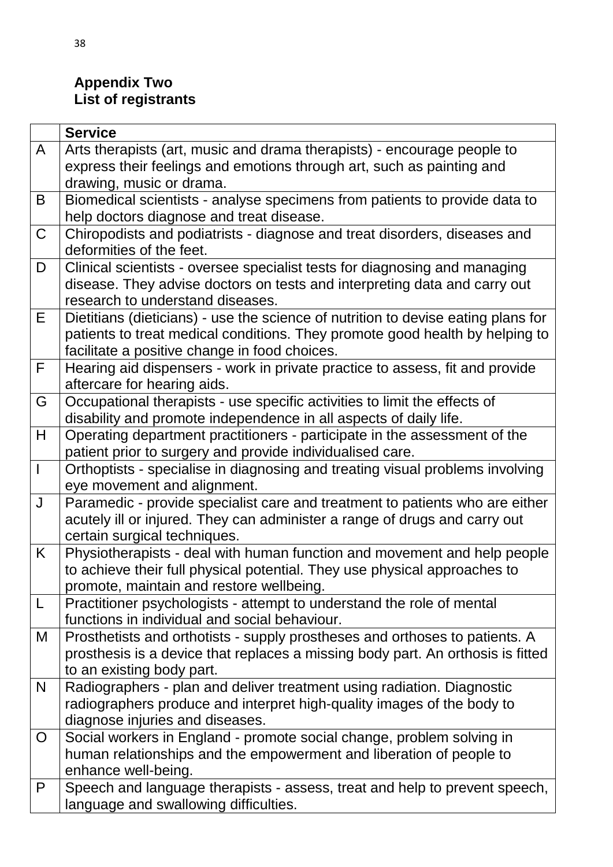# **Appendix Two List of registrants**

|             | <b>Service</b>                                                                                             |
|-------------|------------------------------------------------------------------------------------------------------------|
| A           | Arts therapists (art, music and drama therapists) - encourage people to                                    |
|             | express their feelings and emotions through art, such as painting and                                      |
|             | drawing, music or drama.                                                                                   |
| B           | Biomedical scientists - analyse specimens from patients to provide data to                                 |
|             | help doctors diagnose and treat disease.                                                                   |
| $\mathsf C$ | Chiropodists and podiatrists - diagnose and treat disorders, diseases and                                  |
|             | deformities of the feet.                                                                                   |
| D           | Clinical scientists - oversee specialist tests for diagnosing and managing                                 |
|             | disease. They advise doctors on tests and interpreting data and carry out                                  |
|             | research to understand diseases.                                                                           |
| E           | Dietitians (dieticians) - use the science of nutrition to devise eating plans for                          |
|             | patients to treat medical conditions. They promote good health by helping to                               |
|             | facilitate a positive change in food choices.                                                              |
| F           | Hearing aid dispensers - work in private practice to assess, fit and provide                               |
|             | aftercare for hearing aids.                                                                                |
| G           | Occupational therapists - use specific activities to limit the effects of                                  |
|             | disability and promote independence in all aspects of daily life.                                          |
| H           | Operating department practitioners - participate in the assessment of the                                  |
|             | patient prior to surgery and provide individualised care.                                                  |
|             | Orthoptists - specialise in diagnosing and treating visual problems involving                              |
| J           | eye movement and alignment.                                                                                |
|             | Paramedic - provide specialist care and treatment to patients who are either                               |
|             | acutely ill or injured. They can administer a range of drugs and carry out<br>certain surgical techniques. |
| K.          | Physiotherapists - deal with human function and movement and help people                                   |
|             | to achieve their full physical potential. They use physical approaches to                                  |
|             | promote, maintain and restore wellbeing.                                                                   |
| L           | Practitioner psychologists - attempt to understand the role of mental                                      |
|             | functions in individual and social behaviour.                                                              |
| M           | Prosthetists and orthotists - supply prostheses and orthoses to patients. A                                |
|             | prosthesis is a device that replaces a missing body part. An orthosis is fitted                            |
|             | to an existing body part.                                                                                  |
| N           | Radiographers - plan and deliver treatment using radiation. Diagnostic                                     |
|             | radiographers produce and interpret high-quality images of the body to                                     |
|             | diagnose injuries and diseases.                                                                            |
| O           | Social workers in England - promote social change, problem solving in                                      |
|             | human relationships and the empowerment and liberation of people to                                        |
|             | enhance well-being.                                                                                        |
| P           | Speech and language therapists - assess, treat and help to prevent speech,                                 |
|             | language and swallowing difficulties.                                                                      |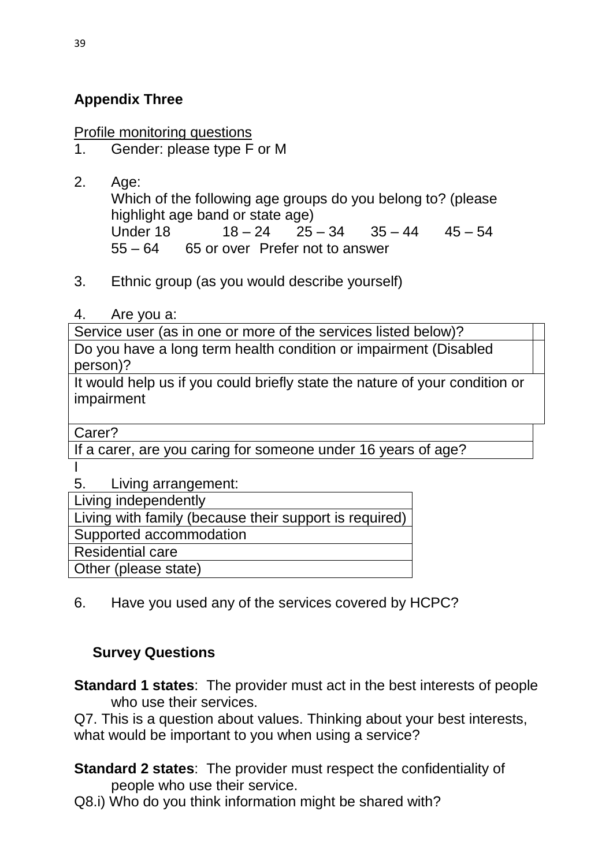# **Appendix Three**

Profile monitoring questions

- 1. Gender: please type F or M
- 2. Age: Which of the following age groups do you belong to? (please highlight age band or state age) Under 18  $18 - 24$   $25 - 34$   $35 - 44$   $45 - 54$ 55 – 64 65 or over Prefer not to answer
- 3. Ethnic group (as you would describe yourself)
- 4. Are you a:

Service user (as in one or more of the services listed below)? Do you have a long term health condition or impairment (Disabled person)?

It would help us if you could briefly state the nature of your condition or impairment

Carer?

If a carer, are you caring for someone under 16 years of age?

I

5. Living arrangement:

Living independently

Living with family (because their support is required)

Supported accommodation

Residential care

Other (please state)

6. Have you used any of the services covered by HCPC?

# **Survey Questions**

**Standard 1 states**: The provider must act in the best interests of people who use their services.

Q7. This is a question about values. Thinking about your best interests, what would be important to you when using a service?

**Standard 2 states**: The provider must respect the confidentiality of people who use their service.

Q8.i) Who do you think information might be shared with?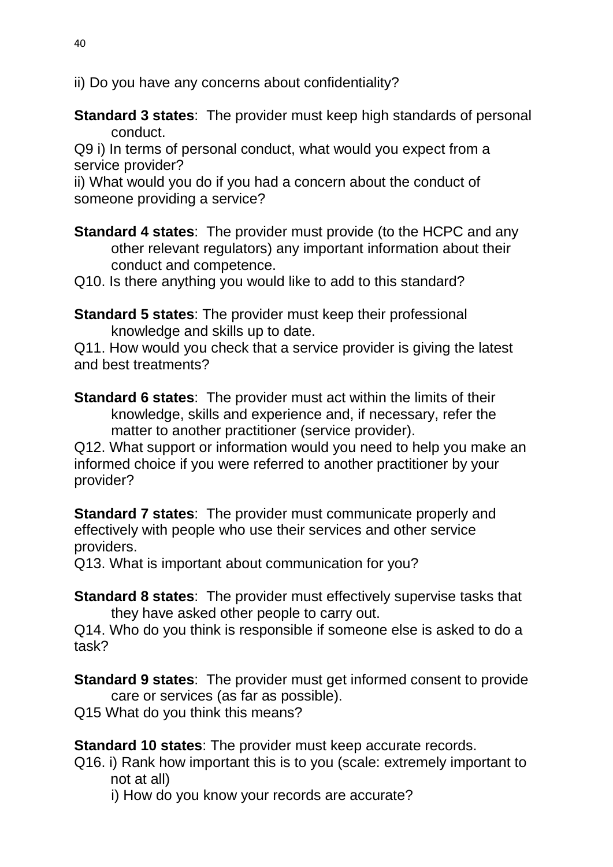ii) Do you have any concerns about confidentiality?

**Standard 3 states**: The provider must keep high standards of personal conduct.

Q9 i) In terms of personal conduct, what would you expect from a service provider?

ii) What would you do if you had a concern about the conduct of someone providing a service?

**Standard 4 states:** The provider must provide (to the HCPC and any other relevant regulators) any important information about their conduct and competence.

Q10. Is there anything you would like to add to this standard?

**Standard 5 states**: The provider must keep their professional knowledge and skills up to date.

Q11. How would you check that a service provider is giving the latest and best treatments?

**Standard 6 states**: The provider must act within the limits of their knowledge, skills and experience and, if necessary, refer the matter to another practitioner (service provider).

Q12. What support or information would you need to help you make an informed choice if you were referred to another practitioner by your provider?

**Standard 7 states**: The provider must communicate properly and effectively with people who use their services and other service providers.

Q13. What is important about communication for you?

**Standard 8 states**: The provider must effectively supervise tasks that they have asked other people to carry out.

Q14. Who do you think is responsible if someone else is asked to do a task?

**Standard 9 states**: The provider must get informed consent to provide care or services (as far as possible).

Q15 What do you think this means?

**Standard 10 states**: The provider must keep accurate records.

Q16. i) Rank how important this is to you (scale: extremely important to not at all)

i) How do you know your records are accurate?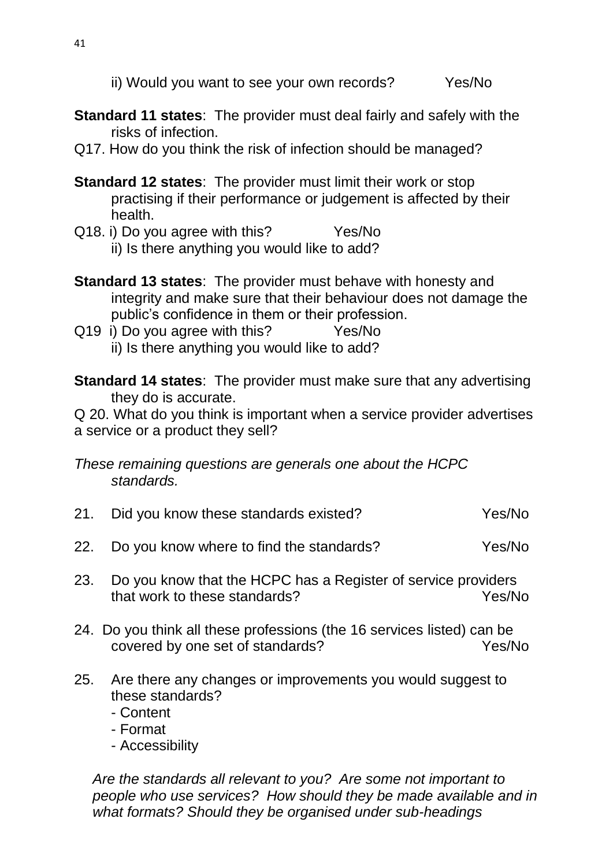- **Standard 11 states**: The provider must deal fairly and safely with the risks of infection.
- Q17. How do you think the risk of infection should be managed?
- **Standard 12 states**: The provider must limit their work or stop practising if their performance or judgement is affected by their health.
- Q18. i) Do you agree with this? Yes/No ii) Is there anything you would like to add?
- **Standard 13 states**: The provider must behave with honesty and integrity and make sure that their behaviour does not damage the public's confidence in them or their profession.
- Q19 i) Do you agree with this? Yes/No ii) Is there anything you would like to add?

**Standard 14 states**: The provider must make sure that any advertising they do is accurate.

Q 20. What do you think is important when a service provider advertises a service or a product they sell?

*These remaining questions are generals one about the HCPC standards.*

- 21. Did you know these standards existed? The Yes/No 22. Do you know where to find the standards? Yes/No
- 23. Do you know that the HCPC has a Register of service providers that work to these standards? The Manuson Mes/No
- 24. Do you think all these professions (the 16 services listed) can be covered by one set of standards? Yes/No
- 25. Are there any changes or improvements you would suggest to these standards?
	- Content
	- Format
	- Accessibility

*Are the standards all relevant to you? Are some not important to people who use services? How should they be made available and in what formats? Should they be organised under sub-headings*